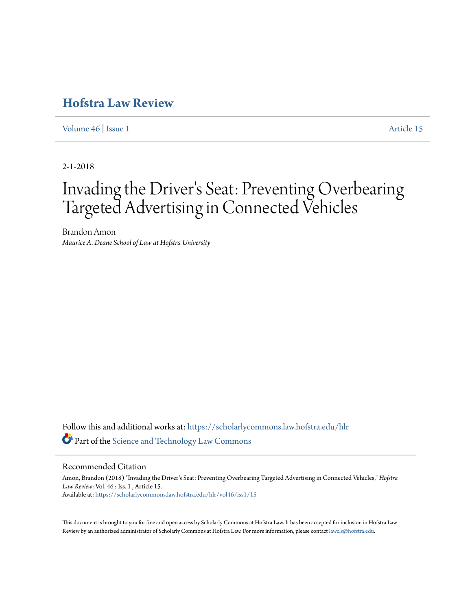## **[Hofstra Law Review](https://scholarlycommons.law.hofstra.edu/hlr?utm_source=scholarlycommons.law.hofstra.edu%2Fhlr%2Fvol46%2Fiss1%2F15&utm_medium=PDF&utm_campaign=PDFCoverPages)**

[Volume 46](https://scholarlycommons.law.hofstra.edu/hlr/vol46?utm_source=scholarlycommons.law.hofstra.edu%2Fhlr%2Fvol46%2Fiss1%2F15&utm_medium=PDF&utm_campaign=PDFCoverPages) | [Issue 1](https://scholarlycommons.law.hofstra.edu/hlr/vol46/iss1?utm_source=scholarlycommons.law.hofstra.edu%2Fhlr%2Fvol46%2Fiss1%2F15&utm_medium=PDF&utm_campaign=PDFCoverPages) [Article 15](https://scholarlycommons.law.hofstra.edu/hlr/vol46/iss1/15?utm_source=scholarlycommons.law.hofstra.edu%2Fhlr%2Fvol46%2Fiss1%2F15&utm_medium=PDF&utm_campaign=PDFCoverPages)

2-1-2018

# Invading the Driver 's Seat: Preventing Overbearing Targeted Advertising in Connected Vehicles

Brandon Amon *Maurice A. Deane School of Law at Hofstra University*

Follow this and additional works at: [https://scholarlycommons.law.hofstra.edu/hlr](https://scholarlycommons.law.hofstra.edu/hlr?utm_source=scholarlycommons.law.hofstra.edu%2Fhlr%2Fvol46%2Fiss1%2F15&utm_medium=PDF&utm_campaign=PDFCoverPages) Part of the [Science and Technology Law Commons](http://network.bepress.com/hgg/discipline/875?utm_source=scholarlycommons.law.hofstra.edu%2Fhlr%2Fvol46%2Fiss1%2F15&utm_medium=PDF&utm_campaign=PDFCoverPages)

## Recommended Citation

Amon, Brandon (2018) "Invading the Driver's Seat: Preventing Overbearing Targeted Advertising in Connected Vehicles," *Hofstra Law Review*: Vol. 46 : Iss. 1 , Article 15. Available at: [https://scholarlycommons.law.hofstra.edu/hlr/vol46/iss1/15](https://scholarlycommons.law.hofstra.edu/hlr/vol46/iss1/15?utm_source=scholarlycommons.law.hofstra.edu%2Fhlr%2Fvol46%2Fiss1%2F15&utm_medium=PDF&utm_campaign=PDFCoverPages)

This document is brought to you for free and open access by Scholarly Commons at Hofstra Law. It has been accepted for inclusion in Hofstra Law Review by an authorized administrator of Scholarly Commons at Hofstra Law. For more information, please contact [lawcls@hofstra.edu](mailto:lawcls@hofstra.edu).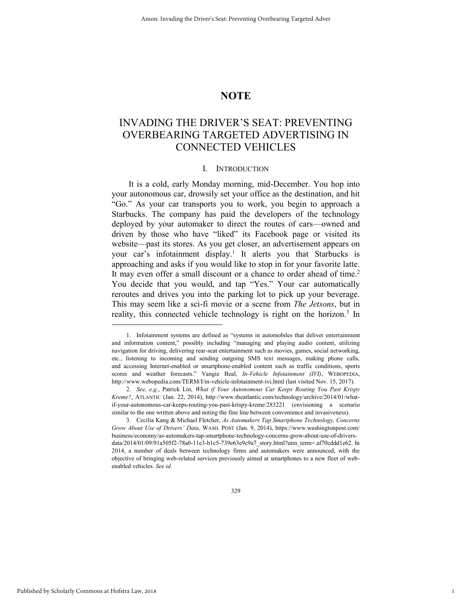## **NOTE**

## INVADING THE DRIVER'S SEAT: PREVENTING OVERBEARING TARGETED ADVERTISING IN CONNECTED VEHICLES

## I. INTRODUCTION

It is a cold, early Monday morning, mid-December. You hop into your autonomous car, drowsily set your office as the destination, and hit "Go." As your car transports you to work, you begin to approach a Starbucks. The company has paid the developers of the technology deployed by your automaker to direct the routes of cars—owned and driven by those who have "liked" its Facebook page or visited its website—past its stores. As you get closer, an advertisement appears on your car's infotainment display.<sup>1</sup> It alerts you that Starbucks is approaching and asks if you would like to stop in for your favorite latte. It may even offer a small discount or a chance to order ahead of time.<sup>2</sup> You decide that you would, and tap "Yes." Your car automatically reroutes and drives you into the parking lot to pick up your beverage. This may seem like a sci-fi movie or a scene from *The Jetsons*, but in reality, this connected vehicle technology is right on the horizon.<sup>3</sup> In

1

<sup>1.</sup> Infotainment systems are defined as "systems in automobiles that deliver entertainment and information content," possibly including "managing and playing audio content, utilizing navigation for driving, delivering rear-seat entertainment such as movies, games, social networking, etc., listening to incoming and sending outgoing SMS text messages, making phone calls, and accessing Internet-enabled or smartphone-enabled content such as traffic conditions, sports scores and weather forecasts." Vangie Beal, *In-Vehicle Infotainment (IVI)*, WEBOPEDIA, http://www.webopedia.com/TERM/I/in-vehicle-infotainment-ivi.html (last visited Nov. 15, 2017).

<sup>2.</sup> *See, e.g.*, Patrick Lin, *What if Your Autonomous Car Keeps Routing You Past Krispy Kreme?*, ATLANTIC (Jan. 22, 2014), http://www.theatlantic.com/technology/archive/2014/01/whatif-your-autonomous-car-keeps-routing-you-past-krispy-kreme/283221 (envisioning a scenario similar to the one written above and noting the fine line between convenience and invasiveness).

<sup>3.</sup> Cecilia Kang & Michael Fletcher, *As Automakers Tap Smartphone Technology, Concerns Grow About Use of Drivers' Data*, WASH. POST (Jan. 9, 2014), https://www.washingtonpost.com/ business/economy/as-automakers-tap-smartphone-technology-concerns-grow-about-use-of-driversdata/2014/01/09/91a505f2-78a0-11e3-b1c5-739e63e9c9a7\_story.html?utm\_term=.af70cddd1e62. In 2014, a number of deals between technology firms and automakers were announced, with the objective of bringing web-related services previously aimed at smartphones to a new fleet of webenabled vehicles. *See id.*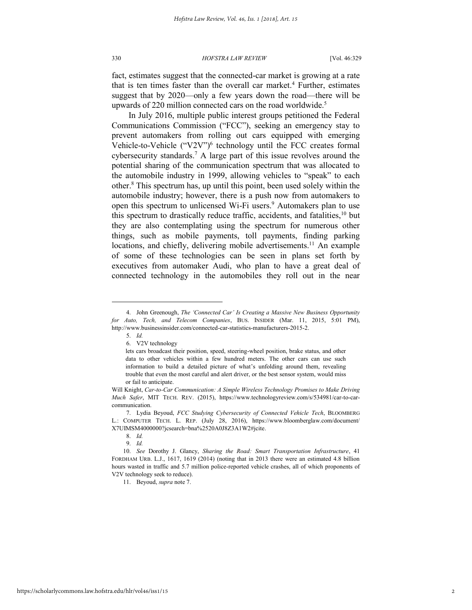fact, estimates suggest that the connected-car market is growing at a rate that is ten times faster than the overall car market.<sup>4</sup> Further, estimates suggest that by 2020—only a few years down the road—there will be upwards of 220 million connected cars on the road worldwide.<sup>5</sup>

In July 2016, multiple public interest groups petitioned the Federal Communications Commission ("FCC"), seeking an emergency stay to prevent automakers from rolling out cars equipped with emerging Vehicle-to-Vehicle ("V2V")<sup>6</sup> technology until the FCC creates formal cybersecurity standards.<sup>7</sup> A large part of this issue revolves around the potential sharing of the communication spectrum that was allocated to the automobile industry in 1999, allowing vehicles to "speak" to each other.<sup>8</sup> This spectrum has, up until this point, been used solely within the automobile industry; however, there is a push now from automakers to open this spectrum to unlicensed Wi-Fi users.<sup>9</sup> Automakers plan to use this spectrum to drastically reduce traffic, accidents, and fatalities,  $10$  but they are also contemplating using the spectrum for numerous other things, such as mobile payments, toll payments, finding parking locations, and chiefly, delivering mobile advertisements.<sup>11</sup> An example of some of these technologies can be seen in plans set forth by executives from automaker Audi, who plan to have a great deal of connected technology in the automobiles they roll out in the near

l

11. Beyoud, *supra* note 7.

<sup>4.</sup> John Greenough, *The 'Connected Car' Is Creating a Massive New Business Opportunity for Auto, Tech, and Telecom Companies*, BUS. INSIDER (Mar. 11, 2015, 5:01 PM), http://www.businessinsider.com/connected-car-statistics-manufacturers-2015-2.

<sup>5.</sup> *Id.*

<sup>6.</sup> V2V technology

lets cars broadcast their position, speed, steering-wheel position, brake status, and other data to other vehicles within a few hundred meters. The other cars can use such information to build a detailed picture of what's unfolding around them, revealing trouble that even the most careful and alert driver, or the best sensor system, would miss or fail to anticipate.

Will Knight, *Car-to-Car Communication: A Simple Wireless Technology Promises to Make Driving Much Safer*, MIT TECH. REV. (2015), https://www.technologyreview.com/s/534981/car-to-carcommunication.

<sup>7.</sup> Lydia Beyoud, *FCC Studying Cybersecurity of Connected Vehicle Tech*, BLOOMBERG L.: COMPUTER TECH. L. REP. (July 28, 2016), https://www.bloomberglaw.com/document/ X7UIMSM4000000?jcsearch=bna%2520A0J8Z3A1W2#jcite.

<sup>8.</sup> *Id.*

<sup>9.</sup> *Id.*

<sup>10.</sup> *See* Dorothy J. Glancy, *Sharing the Road: Smart Transportation Infrastructure*, 41 FORDHAM URB. L.J., 1617, 1619 (2014) (noting that in 2013 there were an estimated 4.8 billion hours wasted in traffic and 5.7 million police-reported vehicle crashes, all of which proponents of V2V technology seek to reduce).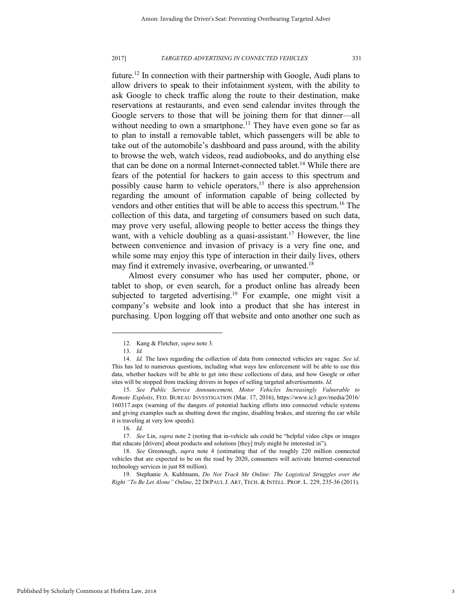future.<sup>12</sup> In connection with their partnership with Google, Audi plans to allow drivers to speak to their infotainment system, with the ability to ask Google to check traffic along the route to their destination, make reservations at restaurants, and even send calendar invites through the Google servers to those that will be joining them for that dinner—all without needing to own a smartphone.<sup>13</sup> They have even gone so far as to plan to install a removable tablet, which passengers will be able to take out of the automobile's dashboard and pass around, with the ability to browse the web, watch videos, read audiobooks, and do anything else that can be done on a normal Internet-connected tablet.<sup>14</sup> While there are fears of the potential for hackers to gain access to this spectrum and possibly cause harm to vehicle operators,<sup>15</sup> there is also apprehension regarding the amount of information capable of being collected by vendors and other entities that will be able to access this spectrum.<sup>16</sup> The collection of this data, and targeting of consumers based on such data, may prove very useful, allowing people to better access the things they want, with a vehicle doubling as a quasi-assistant.<sup>17</sup> However, the line between convenience and invasion of privacy is a very fine one, and while some may enjoy this type of interaction in their daily lives, others may find it extremely invasive, overbearing, or unwanted.<sup>18</sup>

Almost every consumer who has used her computer, phone, or tablet to shop, or even search, for a product online has already been subjected to targeted advertising.<sup>19</sup> For example, one might visit a company's website and look into a product that she has interest in purchasing. Upon logging off that website and onto another one such as

l

17. *See* Lin, *supra* note 2 (noting that in-vehicle ads could be "helpful video clips or images that educate [drivers] about products and solutions [they] truly might be interested in").

18. *See* Greenough, *supra* note 4 (estimating that of the roughly 220 million connected vehicles that are expected to be on the road by 2020, consumers will activate Internet-connected technology services in just 88 million).

19. Stephanie A. Kuhlmann, *Do Not Track Me Online: The Logistical Struggles over the Right "To Be Let Alone" Online*, 22 DEPAUL J. ART, TECH. & INTELL. PROP. L. 229, 235-36 (2011).

<sup>12.</sup> Kang & Fletcher, *supra* note 3.

<sup>13.</sup> *Id.*

<sup>14.</sup> *Id.* The laws regarding the collection of data from connected vehicles are vague. *See id*. This has led to numerous questions, including what ways law enforcement will be able to use this data, whether hackers will be able to get into these collections of data, and how Google or other sites will be stopped from tracking drivers in hopes of selling targeted advertisements. *Id.*

<sup>15.</sup> *See Public Service Announcement, Motor Vehicles Increasingly Vulnerable to Remote Exploits*, FED. BUREAU INVESTIGATION (Mar. 17, 2016), https://www.ic3.gov/media/2016/ 160317.aspx (warning of the dangers of potential hacking efforts into connected vehicle systems and giving examples such as shutting down the engine, disabling brakes, and steering the car while it is traveling at very low speeds).

<sup>16.</sup> *Id.*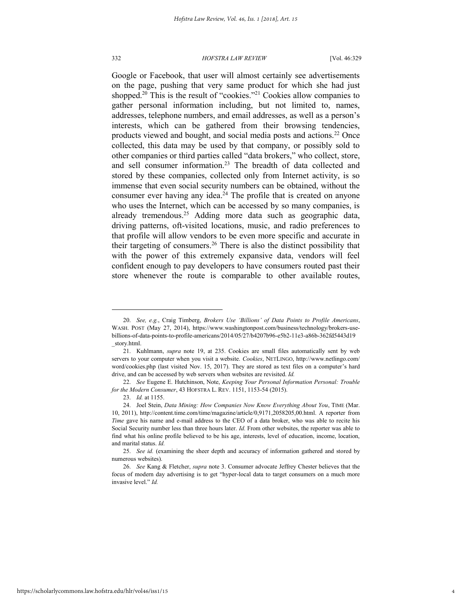Google or Facebook, that user will almost certainly see advertisements on the page, pushing that very same product for which she had just shopped.<sup>20</sup> This is the result of "cookies."<sup>21</sup> Cookies allow companies to gather personal information including, but not limited to, names, addresses, telephone numbers, and email addresses, as well as a person's interests, which can be gathered from their browsing tendencies, products viewed and bought, and social media posts and actions.<sup>22</sup> Once collected, this data may be used by that company, or possibly sold to other companies or third parties called "data brokers," who collect, store, and sell consumer information.<sup>23</sup> The breadth of data collected and stored by these companies, collected only from Internet activity, is so immense that even social security numbers can be obtained, without the consumer ever having any idea. $24$  The profile that is created on anyone who uses the Internet, which can be accessed by so many companies, is already tremendous.<sup>25</sup> Adding more data such as geographic data, driving patterns, oft-visited locations, music, and radio preferences to that profile will allow vendors to be even more specific and accurate in their targeting of consumers.<sup>26</sup> There is also the distinct possibility that with the power of this extremely expansive data, vendors will feel confident enough to pay developers to have consumers routed past their store whenever the route is comparable to other available routes,

<sup>20.</sup> *See, e.g.*, Craig Timberg, *Brokers Use 'Billions' of Data Points to Profile Americans*, WASH. POST (May 27, 2014), https://www.washingtonpost.com/business/technology/brokers-usebillions-of-data-points-to-profile-americans/2014/05/27/b4207b96-e5b2-11e3-a86b-362fd5443d19 \_story.html.

<sup>21.</sup> Kuhlmann, *supra* note 19, at 235. Cookies are small files automatically sent by web servers to your computer when you visit a website. *Cookies*, NETLINGO, http://www.netlingo.com/ word/cookies.php (last visited Nov. 15, 2017). They are stored as text files on a computer's hard drive, and can be accessed by web servers when websites are revisited. *Id.*

<sup>22.</sup> *See* Eugene E. Hutchinson, Note, *Keeping Your Personal Information Personal: Trouble for the Modern Consumer*, 43 HOFSTRA L. REV. 1151, 1153-54 (2015).

<sup>23.</sup> *Id.* at 1155.

<sup>24.</sup> Joel Stein, *Data Mining: How Companies Now Know Everything About You*, TIME (Mar. 10, 2011), http://content.time.com/time/magazine/article/0,9171,2058205,00.html. A reporter from *Time* gave his name and e-mail address to the CEO of a data broker, who was able to recite his Social Security number less than three hours later. *Id.* From other websites, the reporter was able to find what his online profile believed to be his age, interests, level of education, income, location, and marital status. *Id.*

<sup>25.</sup> *See id.* (examining the sheer depth and accuracy of information gathered and stored by numerous websites).

<sup>26.</sup> *See* Kang & Fletcher, *supra* note 3. Consumer advocate Jeffrey Chester believes that the focus of modern day advertising is to get "hyper-local data to target consumers on a much more invasive level." *Id.*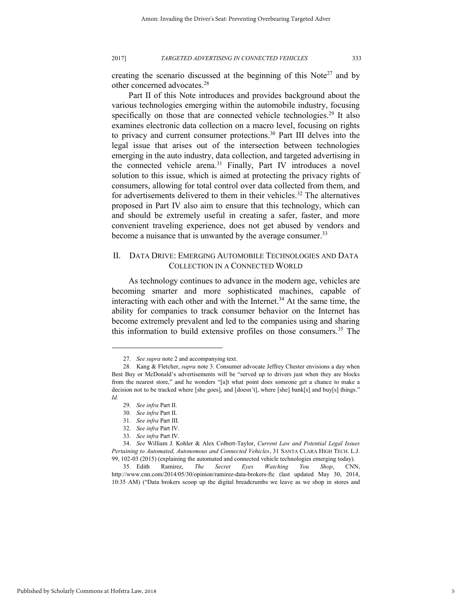creating the scenario discussed at the beginning of this Note<sup>27</sup> and by other concerned advocates.<sup>28</sup>

Part II of this Note introduces and provides background about the various technologies emerging within the automobile industry, focusing specifically on those that are connected vehicle technologies.<sup>29</sup> It also examines electronic data collection on a macro level, focusing on rights to privacy and current consumer protections.<sup>30</sup> Part III delves into the legal issue that arises out of the intersection between technologies emerging in the auto industry, data collection, and targeted advertising in the connected vehicle arena.<sup>31</sup> Finally, Part IV introduces a novel solution to this issue, which is aimed at protecting the privacy rights of consumers, allowing for total control over data collected from them, and for advertisements delivered to them in their vehicles.<sup>32</sup> The alternatives proposed in Part IV also aim to ensure that this technology, which can and should be extremely useful in creating a safer, faster, and more convenient traveling experience, does not get abused by vendors and become a nuisance that is unwanted by the average consumer.<sup>33</sup>

## II. DATA DRIVE: EMERGING AUTOMOBILE TECHNOLOGIES AND DATA COLLECTION IN A CONNECTED WORLD

As technology continues to advance in the modern age, vehicles are becoming smarter and more sophisticated machines, capable of interacting with each other and with the Internet.<sup>34</sup> At the same time, the ability for companies to track consumer behavior on the Internet has become extremely prevalent and led to the companies using and sharing this information to build extensive profiles on those consumers.<sup>35</sup> The

<sup>27.</sup> *See supra* note 2 and accompanying text.

<sup>28.</sup> Kang & Fletcher, *supra* note 3. Consumer advocate Jeffrey Chester envisions a day when Best Buy or McDonald's advertisements will be "served up to drivers just when they are blocks from the nearest store," and he wonders "[a]t what point does someone get a chance to make a decision not to be tracked where [she goes], and [doesn't], where [she] bank[s] and buy[s] things." *Id.*

<sup>29.</sup> *See infra* Part II.

<sup>30.</sup> *See infra* Part II.

<sup>31.</sup> *See infra* Part III.

<sup>32.</sup> *See infra* Part IV.

<sup>33.</sup> *See infra* Part IV.

<sup>34.</sup> *See* William J. Kohler & Alex Colbert-Taylor, *Current Law and Potential Legal Issues Pertaining to Automated, Autonomous and Connected Vehicles*, 31 SANTA CLARA HIGH TECH. L.J. 99, 102-03 (2015) (explaining the automated and connected vehicle technologies emerging today).

<sup>35.</sup> Edith Ramirez, *The Secret Eyes Watching You Shop*, CNN, http://www.cnn.com/2014/05/30/opinion/ramirez-data-brokers-ftc (last updated May 30, 2014, 10:35 AM) ("Data brokers scoop up the digital breadcrumbs we leave as we shop in stores and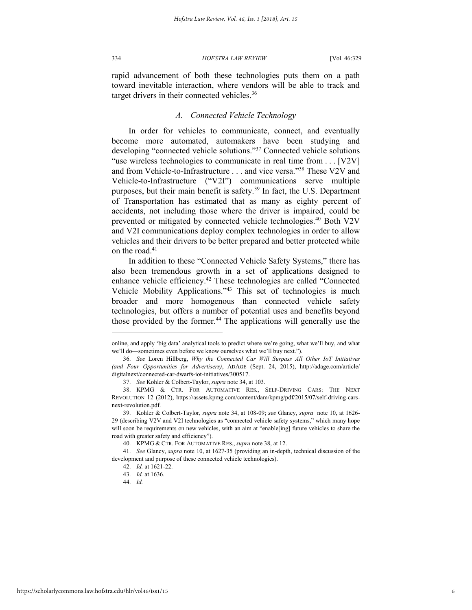rapid advancement of both these technologies puts them on a path toward inevitable interaction, where vendors will be able to track and target drivers in their connected vehicles.<sup>36</sup>

## *A. Connected Vehicle Technology*

In order for vehicles to communicate, connect, and eventually become more automated, automakers have been studying and developing "connected vehicle solutions."<sup>37</sup> Connected vehicle solutions "use wireless technologies to communicate in real time from . . . [V2V] and from Vehicle-to-Infrastructure . . . and vice versa."<sup>38</sup> These V2V and Vehicle-to-Infrastructure ("V2I") communications serve multiple purposes, but their main benefit is safety.<sup>39</sup> In fact, the U.S. Department of Transportation has estimated that as many as eighty percent of accidents, not including those where the driver is impaired, could be prevented or mitigated by connected vehicle technologies.<sup>40</sup> Both V2V and V2I communications deploy complex technologies in order to allow vehicles and their drivers to be better prepared and better protected while on the road.<sup>41</sup>

In addition to these "Connected Vehicle Safety Systems," there has also been tremendous growth in a set of applications designed to enhance vehicle efficiency.<sup>42</sup> These technologies are called "Connected Vehicle Mobility Applications."<sup>43</sup> This set of technologies is much broader and more homogenous than connected vehicle safety technologies, but offers a number of potential uses and benefits beyond those provided by the former.<sup>44</sup> The applications will generally use the

online, and apply 'big data' analytical tools to predict where we're going, what we'll buy, and what we'll do—sometimes even before we know ourselves what we'll buy next.").

<sup>36.</sup> *See* Loren Hillberg, *Why the Connected Car Will Surpass All Other IoT Initiatives (and Four Opportunities for Advertisers)*, ADAGE (Sept. 24, 2015), http://adage.com/article/ digitalnext/connected-car-dwarfs-iot-initiatives/300517.

<sup>37.</sup> *See* Kohler & Colbert-Taylor, *supra* note 34, at 103.

<sup>38.</sup> KPMG & CTR. FOR AUTOMATIVE RES., SELF-DRIVING CARS: THE NEXT REVOLUTION 12 (2012), https://assets.kpmg.com/content/dam/kpmg/pdf/2015/07/self-driving-carsnext-revolution.pdf.

<sup>39.</sup> Kohler & Colbert-Taylor, *supra* note 34, at 108-09; *see* Glancy, *supra* note 10, at 1626- 29 (describing V2V and V2I technologies as "connected vehicle safety systems," which many hope will soon be requirements on new vehicles, with an aim at "enable[ing] future vehicles to share the road with greater safety and efficiency").

<sup>40.</sup> KPMG & CTR. FOR AUTOMATIVE RES., *supra* note 38, at 12.

<sup>41.</sup> *See* Glancy, *supra* note 10, at 1627-35 (providing an in-depth, technical discussion of the development and purpose of these connected vehicle technologies).

<sup>42.</sup> *Id.* at 1621-22.

<sup>43.</sup> *Id.* at 1636.

<sup>44.</sup> *Id.*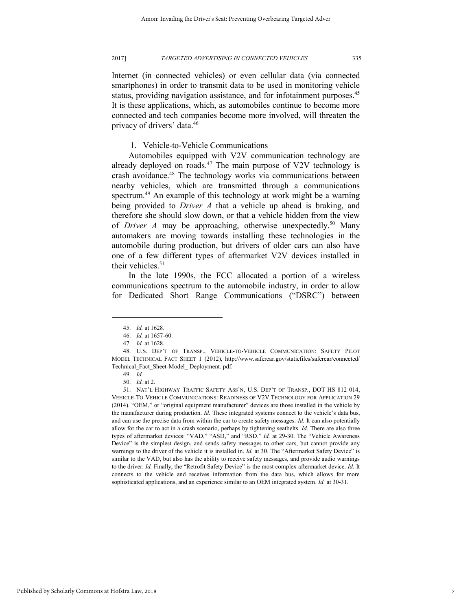Internet (in connected vehicles) or even cellular data (via connected smartphones) in order to transmit data to be used in monitoring vehicle status, providing navigation assistance, and for infotainment purposes.<sup>45</sup> It is these applications, which, as automobiles continue to become more connected and tech companies become more involved, will threaten the privacy of drivers' data.<sup>46</sup>

1. Vehicle-to-Vehicle Communications

Automobiles equipped with V2V communication technology are already deployed on roads.<sup>47</sup> The main purpose of V2V technology is crash avoidance.<sup>48</sup> The technology works via communications between nearby vehicles, which are transmitted through a communications spectrum.<sup>49</sup> An example of this technology at work might be a warning being provided to *Driver A* that a vehicle up ahead is braking, and therefore she should slow down, or that a vehicle hidden from the view of *Driver A* may be approaching, otherwise unexpectedly.<sup>50</sup> Many automakers are moving towards installing these technologies in the automobile during production, but drivers of older cars can also have one of a few different types of aftermarket V2V devices installed in their vehicles.<sup>51</sup>

In the late 1990s, the FCC allocated a portion of a wireless communications spectrum to the automobile industry, in order to allow for Dedicated Short Range Communications ("DSRC") between

<sup>45.</sup> *Id.* at 1628.

<sup>46.</sup> *Id.* at 1657-60.

<sup>47.</sup> *Id.* at 1628.

<sup>48.</sup> U.S. DEP'T OF TRANSP., VEHICLE-TO-VEHICLE COMMUNICATION: SAFETY PILOT MODEL TECHNICAL FACT SHEET 1 (2012), http://www.safercar.gov/staticfiles/safercar/connected/ Technical\_Fact\_Sheet-Model\_ Deployment. pdf.

<sup>49.</sup> *Id.*

<sup>50.</sup> *Id.* at 2.

<sup>51.</sup> NAT'L HIGHWAY TRAFFIC SAFETY ASS'N, U.S. DEP'T OF TRANSP., DOT HS 812 014, VEHICLE-TO-VEHICLE COMMUNICATIONS: READINESS OF V2V TECHNOLOGY FOR APPLICATION 29 (2014). "OEM," or "original equipment manufacturer" devices are those installed in the vehicle by the manufacturer during production. *Id.* These integrated systems connect to the vehicle's data bus, and can use the precise data from within the car to create safety messages. *Id.* It can also potentially allow for the car to act in a crash scenario, perhaps by tightening seatbelts. *Id.* There are also three types of aftermarket devices: "VAD," "ASD," and "RSD." *Id.* at 29-30. The "Vehicle Awareness Device" is the simplest design, and sends safety messages to other cars, but cannot provide any warnings to the driver of the vehicle it is installed in. *Id.* at 30. The "Aftermarket Safety Device" is similar to the VAD, but also has the ability to receive safety messages, and provide audio warnings to the driver. *Id.* Finally, the "Retrofit Safety Device" is the most complex aftermarket device. *Id.* It connects to the vehicle and receives information from the data bus, which allows for more sophisticated applications, and an experience similar to an OEM integrated system. *Id.* at 30-31.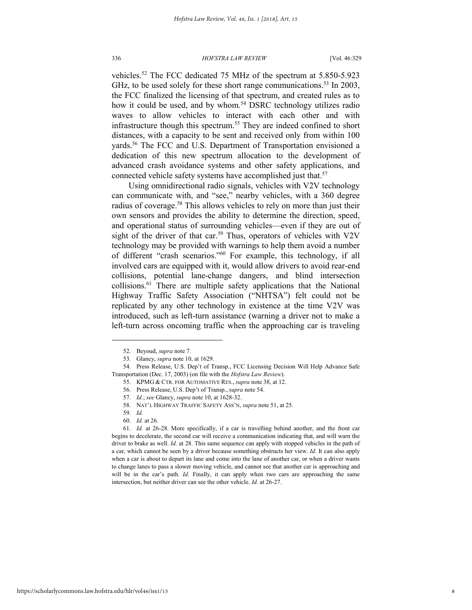vehicles.<sup>52</sup> The FCC dedicated 75 MHz of the spectrum at 5.850-5.923 GHz, to be used solely for these short range communications.<sup>53</sup> In 2003, the FCC finalized the licensing of that spectrum, and created rules as to how it could be used, and by whom.<sup>54</sup> DSRC technology utilizes radio waves to allow vehicles to interact with each other and with infrastructure though this spectrum.<sup>55</sup> They are indeed confined to short distances, with a capacity to be sent and received only from within 100 yards.<sup>56</sup> The FCC and U.S. Department of Transportation envisioned a dedication of this new spectrum allocation to the development of advanced crash avoidance systems and other safety applications, and connected vehicle safety systems have accomplished just that.<sup>57</sup>

Using omnidirectional radio signals, vehicles with V2V technology can communicate with, and "see," nearby vehicles, with a 360 degree radius of coverage.<sup>58</sup> This allows vehicles to rely on more than just their own sensors and provides the ability to determine the direction, speed, and operational status of surrounding vehicles—even if they are out of sight of the driver of that car.<sup>59</sup> Thus, operators of vehicles with V2V technology may be provided with warnings to help them avoid a number of different "crash scenarios."<sup>60</sup> For example, this technology, if all involved cars are equipped with it, would allow drivers to avoid rear-end collisions, potential lane-change dangers, and blind intersection collisions.<sup>61</sup> There are multiple safety applications that the National Highway Traffic Safety Association ("NHTSA") felt could not be replicated by any other technology in existence at the time V2V was introduced, such as left-turn assistance (warning a driver not to make a left-turn across oncoming traffic when the approaching car is traveling

59. *Id.*

<sup>52.</sup> Beyoud, *supra* note 7.

<sup>53.</sup> Glancy, *supra* note 10, at 1629.

<sup>54.</sup> Press Release, U.S. Dep't of Transp., FCC Licensing Decision Will Help Advance Safe Transportation (Dec. 17, 2003) (on file with the *Hofstra Law Review*).

<sup>55.</sup> KPMG & CTR. FOR AUTOMATIVE RES., *supra* note 38, at 12.

<sup>56.</sup> Press Release, U.S. Dep't of Transp., *supra* note 54.

<sup>57.</sup> *Id.*; *see* Glancy, *supra* note 10, at 1628-32.

<sup>58.</sup> NAT'L HIGHWAY TRAFFIC SAFETY ASS'N, *supra* note 51, at 25.

<sup>60.</sup> *Id.* at 26.

<sup>61.</sup> *Id.* at 26-28. More specifically, if a car is travelling behind another, and the front car begins to decelerate, the second car will receive a communication indicating that, and will warn the driver to brake as well. *Id.* at 28. This same sequence can apply with stopped vehicles in the path of a car, which cannot be seen by a driver because something obstructs her view. *Id.* It can also apply when a car is about to depart its lane and come into the lane of another car, or when a driver wants to change lanes to pass a slower moving vehicle, and cannot see that another car is approaching and will be in the car's path. *Id.* Finally, it can apply when two cars are approaching the same intersection, but neither driver can see the other vehicle. *Id.* at 26-27.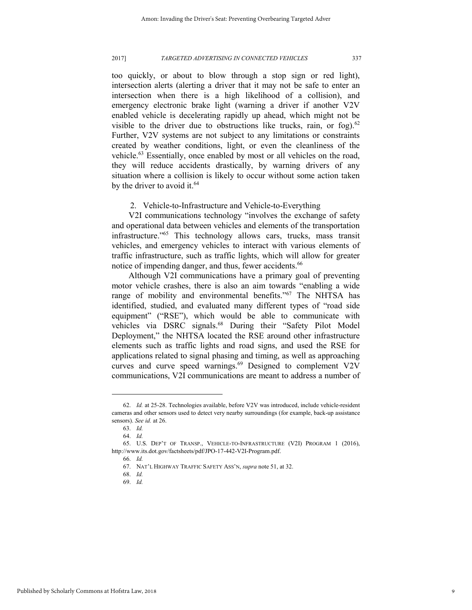too quickly, or about to blow through a stop sign or red light), intersection alerts (alerting a driver that it may not be safe to enter an intersection when there is a high likelihood of a collision), and emergency electronic brake light (warning a driver if another V2V enabled vehicle is decelerating rapidly up ahead, which might not be visible to the driver due to obstructions like trucks, rain, or fog).<sup>62</sup> Further, V2V systems are not subject to any limitations or constraints created by weather conditions, light, or even the cleanliness of the vehicle.<sup>63</sup> Essentially, once enabled by most or all vehicles on the road, they will reduce accidents drastically, by warning drivers of any situation where a collision is likely to occur without some action taken by the driver to avoid it.<sup>64</sup>

## 2. Vehicle-to-Infrastructure and Vehicle-to-Everything

V2I communications technology "involves the exchange of safety and operational data between vehicles and elements of the transportation infrastructure." <sup>65</sup> This technology allows cars, trucks, mass transit vehicles, and emergency vehicles to interact with various elements of traffic infrastructure, such as traffic lights, which will allow for greater notice of impending danger, and thus, fewer accidents.<sup>66</sup>

Although V2I communications have a primary goal of preventing motor vehicle crashes, there is also an aim towards "enabling a wide range of mobility and environmental benefits."<sup>67</sup> The NHTSA has identified, studied, and evaluated many different types of "road side equipment" ("RSE"), which would be able to communicate with vehicles via DSRC signals.<sup>68</sup> During their "Safety Pilot Model Deployment," the NHTSA located the RSE around other infrastructure elements such as traffic lights and road signs, and used the RSE for applications related to signal phasing and timing, as well as approaching curves and curve speed warnings.<sup>69</sup> Designed to complement V2V communications, V2I communications are meant to address a number of

l

69. *Id.*

<sup>62.</sup> *Id.* at 25-28. Technologies available, before V2V was introduced, include vehicle-resident cameras and other sensors used to detect very nearby surroundings (for example, back-up assistance sensors). *See id.* at 26.

<sup>63.</sup> *Id.*

<sup>64.</sup> *Id.*

<sup>65.</sup> U.S. DEP'T OF TRANSP., VEHICLE-TO-INFRASTRUCTURE (V2I) PROGRAM 1 (2016), http://www.its.dot.gov/factsheets/pdf/JPO-17-442-V2I-Program.pdf.

<sup>66.</sup> *Id.*

<sup>67.</sup> NAT'L HIGHWAY TRAFFIC SAFETY ASS'N, *supra* note 51, at 32.

<sup>68.</sup> *Id.*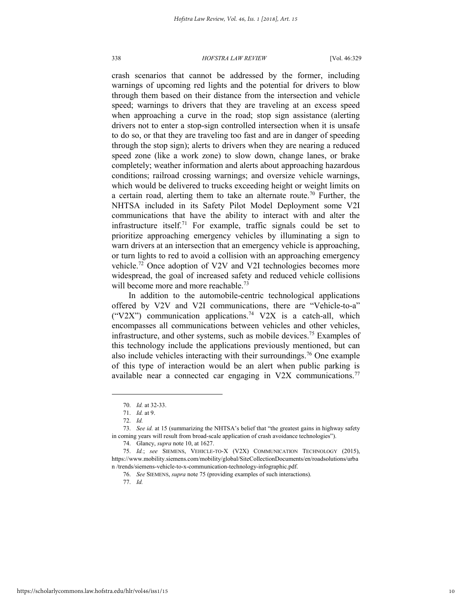crash scenarios that cannot be addressed by the former, including warnings of upcoming red lights and the potential for drivers to blow through them based on their distance from the intersection and vehicle speed; warnings to drivers that they are traveling at an excess speed when approaching a curve in the road; stop sign assistance (alerting drivers not to enter a stop-sign controlled intersection when it is unsafe to do so, or that they are traveling too fast and are in danger of speeding through the stop sign); alerts to drivers when they are nearing a reduced speed zone (like a work zone) to slow down, change lanes, or brake completely; weather information and alerts about approaching hazardous conditions; railroad crossing warnings; and oversize vehicle warnings, which would be delivered to trucks exceeding height or weight limits on a certain road, alerting them to take an alternate route.<sup>70</sup> Further, the NHTSA included in its Safety Pilot Model Deployment some V2I communications that have the ability to interact with and alter the infrastructure itself.<sup>71</sup> For example, traffic signals could be set to prioritize approaching emergency vehicles by illuminating a sign to warn drivers at an intersection that an emergency vehicle is approaching, or turn lights to red to avoid a collision with an approaching emergency vehicle.<sup>72</sup> Once adoption of V2V and V2I technologies becomes more widespread, the goal of increased safety and reduced vehicle collisions will become more and more reachable.<sup>73</sup>

In addition to the automobile-centric technological applications offered by V2V and V2I communications, there are "Vehicle-to-a" ("V2X") communication applications.<sup>74</sup> V2X is a catch-all, which encompasses all communications between vehicles and other vehicles, infrastructure, and other systems, such as mobile devices.<sup>75</sup> Examples of this technology include the applications previously mentioned, but can also include vehicles interacting with their surroundings.<sup>76</sup> One example of this type of interaction would be an alert when public parking is available near a connected car engaging in V2X communications.<sup>77</sup>

l

77. *Id.*

<sup>70.</sup> *Id.* at 32-33.

<sup>71.</sup> *Id.* at 9.

<sup>72.</sup> *Id.*

<sup>73.</sup> *See id.* at 15 (summarizing the NHTSA's belief that "the greatest gains in highway safety in coming years will result from broad-scale application of crash avoidance technologies").

<sup>74.</sup> Glancy, *supra* note 10, at 1627.

<sup>75.</sup> *Id.*; *see* SIEMENS, VEHICLE-TO-X (V2X) COMMUNICATION TECHNOLOGY (2015), https://www.mobility.siemens.com/mobility/global/SiteCollectionDocuments/en/roadsolutions/urba n /trends/siemens-vehicle-to-x-communication-technology-infographic.pdf.

<sup>76.</sup> *See* SIEMENS, *supra* note 75 (providing examples of such interactions).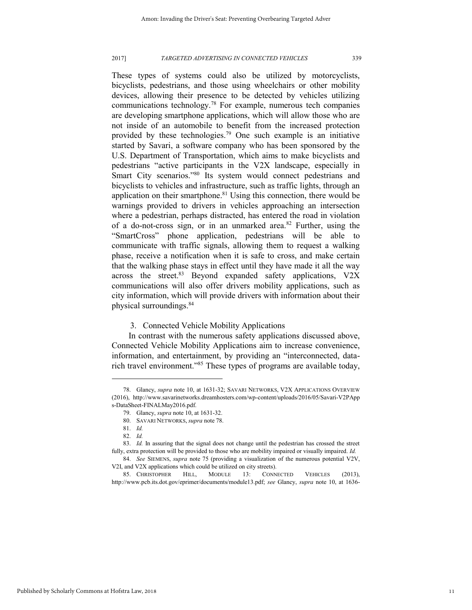These types of systems could also be utilized by motorcyclists, bicyclists, pedestrians, and those using wheelchairs or other mobility devices, allowing their presence to be detected by vehicles utilizing communications technology.<sup>78</sup> For example, numerous tech companies are developing smartphone applications, which will allow those who are not inside of an automobile to benefit from the increased protection provided by these technologies.<sup>79</sup> One such example is an initiative started by Savari, a software company who has been sponsored by the U.S. Department of Transportation, which aims to make bicyclists and pedestrians "active participants in the V2X landscape, especially in Smart City scenarios."<sup>80</sup> Its system would connect pedestrians and bicyclists to vehicles and infrastructure, such as traffic lights, through an application on their smartphone. $81$  Using this connection, there would be warnings provided to drivers in vehicles approaching an intersection where a pedestrian, perhaps distracted, has entered the road in violation of a do-not-cross sign, or in an unmarked area.<sup>82</sup> Further, using the "SmartCross" phone application, pedestrians will be able to communicate with traffic signals, allowing them to request a walking phase, receive a notification when it is safe to cross, and make certain that the walking phase stays in effect until they have made it all the way across the street. $83$  Beyond expanded safety applications, V2X communications will also offer drivers mobility applications, such as city information, which will provide drivers with information about their physical surroundings.<sup>84</sup>

3. Connected Vehicle Mobility Applications

In contrast with the numerous safety applications discussed above, Connected Vehicle Mobility Applications aim to increase convenience, information, and entertainment, by providing an "interconnected, datarich travel environment."<sup>85</sup> These types of programs are available today,

<sup>78.</sup> Glancy, *supra* note 10, at 1631-32; SAVARI NETWORKS, V2X APPLICATIONS OVERVIEW (2016), http://www.savarinetworks.dreamhosters.com/wp-content/uploads/2016/05/Savari-V2PApp s-DataSheet-FINALMay2016.pdf.

<sup>79.</sup> Glancy, *supra* note 10, at 1631-32.

<sup>80.</sup> SAVARI NETWORKS, *supra* note 78.

<sup>81.</sup> *Id.*

<sup>82.</sup> *Id.*

<sup>83.</sup> *Id.* In assuring that the signal does not change until the pedestrian has crossed the street fully, extra protection will be provided to those who are mobility impaired or visually impaired. *Id.* 

<sup>84.</sup> *See* SIEMENS, *supra* note 75 (providing a visualization of the numerous potential V2V, V2I, and V2X applications which could be utilized on city streets).

<sup>85.</sup> CHRISTOPHER HILL, MODULE 13: CONNECTED VEHICLES (2013), http://www.pcb.its.dot.gov/eprimer/documents/module13.pdf; *see* Glancy, *supra* note 10, at 1636-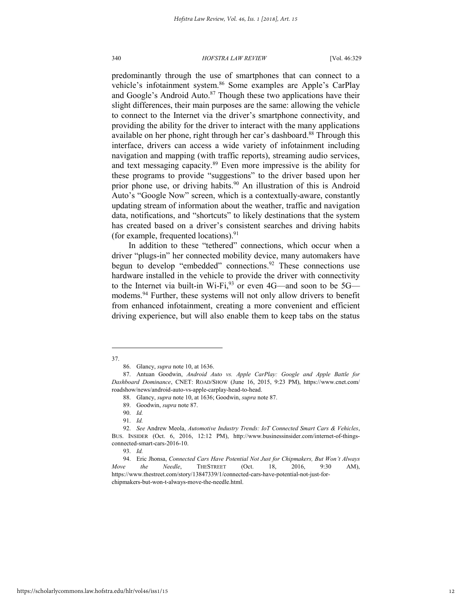predominantly through the use of smartphones that can connect to a vehicle's infotainment system.<sup>86</sup> Some examples are Apple's CarPlay and Google's Android Auto. $87$  Though these two applications have their slight differences, their main purposes are the same: allowing the vehicle to connect to the Internet via the driver's smartphone connectivity, and providing the ability for the driver to interact with the many applications available on her phone, right through her car's dashboard.<sup>88</sup> Through this interface, drivers can access a wide variety of infotainment including navigation and mapping (with traffic reports), streaming audio services, and text messaging capacity.<sup>89</sup> Even more impressive is the ability for these programs to provide "suggestions" to the driver based upon her prior phone use, or driving habits.<sup>90</sup> An illustration of this is Android Auto's "Google Now" screen, which is a contextually-aware, constantly updating stream of information about the weather, traffic and navigation data, notifications, and "shortcuts" to likely destinations that the system has created based on a driver's consistent searches and driving habits (for example, frequented locations). $91$ 

In addition to these "tethered" connections, which occur when a driver "plugs-in" her connected mobility device, many automakers have begun to develop "embedded" connections.<sup>92</sup> These connections use hardware installed in the vehicle to provide the driver with connectivity to the Internet via built-in Wi-Fi, $^{93}$  or even 4G—and soon to be 5G modems.<sup>94</sup> Further, these systems will not only allow drivers to benefit from enhanced infotainment, creating a more convenient and efficient driving experience, but will also enable them to keep tabs on the status

l 37.

<sup>86.</sup> Glancy, *supra* note 10, at 1636.

<sup>87.</sup> Antuan Goodwin, *Android Auto vs. Apple CarPlay: Google and Apple Battle for Dashboard Dominance*, CNET: ROAD/SHOW (June 16, 2015, 9:23 PM), https://www.cnet.com/ roadshow/news/android-auto-vs-apple-carplay-head-to-head.

<sup>88.</sup> Glancy, *supra* note 10, at 1636; Goodwin, *supra* note 87.

<sup>89.</sup> Goodwin, *supra* note 87.

<sup>90.</sup> *Id.*

<sup>91.</sup> *Id.*

<sup>92.</sup> *See* Andrew Meola, *Automotive Industry Trends: IoT Connected Smart Cars & Vehicles*, BUS. INSIDER (Oct. 6, 2016, 12:12 PM), http://www.businessinsider.com/internet-of-thingsconnected-smart-cars-2016-10.

<sup>93.</sup> *Id.*

<sup>94.</sup> Eric Jhonsa, *Connected Cars Have Potential Not Just for Chipmakers, But Won't Always Move the Needle*, THESTREET (Oct. 18, 2016, 9:30 AM), https://www.thestreet.com/story/13847339/1/connected-cars-have-potential-not-just-forchipmakers-but-won-t-always-move-the-needle.html.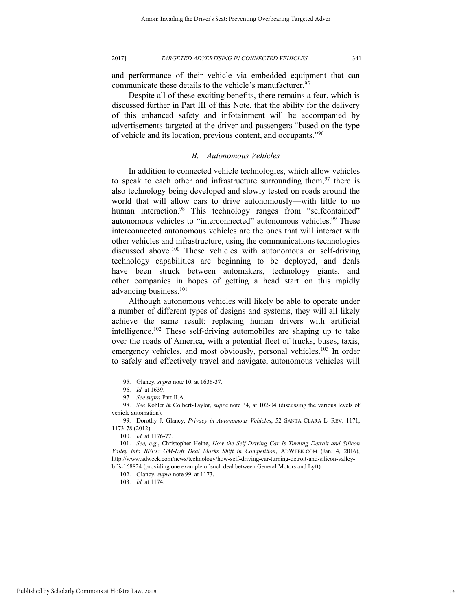and performance of their vehicle via embedded equipment that can communicate these details to the vehicle's manufacturer.<sup>95</sup>

Despite all of these exciting benefits, there remains a fear, which is discussed further in Part III of this Note, that the ability for the delivery of this enhanced safety and infotainment will be accompanied by advertisements targeted at the driver and passengers "based on the type of vehicle and its location, previous content, and occupants."<sup>96</sup>

## *B. Autonomous Vehicles*

In addition to connected vehicle technologies, which allow vehicles to speak to each other and infrastructure surrounding them,  $97$  there is also technology being developed and slowly tested on roads around the world that will allow cars to drive autonomously—with little to no human interaction.<sup>98</sup> This technology ranges from "selfcontained" autonomous vehicles to "interconnected" autonomous vehicles.<sup>99</sup> These interconnected autonomous vehicles are the ones that will interact with other vehicles and infrastructure, using the communications technologies discussed above.<sup>100</sup> These vehicles with autonomous or self-driving technology capabilities are beginning to be deployed, and deals have been struck between automakers, technology giants, and other companies in hopes of getting a head start on this rapidly advancing business.<sup>101</sup>

Although autonomous vehicles will likely be able to operate under a number of different types of designs and systems, they will all likely achieve the same result: replacing human drivers with artificial intelligence.<sup>102</sup> These self-driving automobiles are shaping up to take over the roads of America, with a potential fleet of trucks, buses, taxis, emergency vehicles, and most obviously, personal vehicles.<sup>103</sup> In order to safely and effectively travel and navigate, autonomous vehicles will

l

103. *Id.* at 1174.

<sup>95.</sup> Glancy, *supra* note 10, at 1636-37.

<sup>96.</sup> *Id.* at 1639.

<sup>97.</sup> *See supra* Part II.A.

<sup>98.</sup> *See* Kohler & Colbert-Taylor, *supra* note 34, at 102-04 (discussing the various levels of vehicle automation).

<sup>99.</sup> Dorothy J. Glancy, *Privacy in Autonomous Vehicles*, 52 SANTA CLARA L. REV. 1171, 1173-78 (2012).

<sup>100.</sup> *Id.* at 1176-77.

<sup>101.</sup> *See, e.g.*, Christopher Heine, *How the Self-Driving Car Is Turning Detroit and Silicon Valley into BFFs: GM-Lyft Deal Marks Shift in Competition*, ADWEEK.COM (Jan. 4, 2016), http://www.adweek.com/news/technology/how-self-driving-car-turning-detroit-and-silicon-valleybffs-168824 (providing one example of such deal between General Motors and Lyft).

<sup>102.</sup> Glancy, *supra* note 99, at 1173.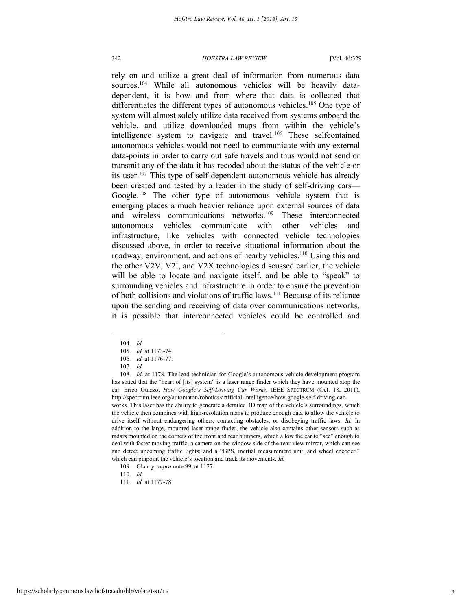rely on and utilize a great deal of information from numerous data sources.<sup>104</sup> While all autonomous vehicles will be heavily datadependent, it is how and from where that data is collected that differentiates the different types of autonomous vehicles.<sup>105</sup> One type of system will almost solely utilize data received from systems onboard the vehicle, and utilize downloaded maps from within the vehicle's intelligence system to navigate and travel.<sup>106</sup> These selfcontained autonomous vehicles would not need to communicate with any external data-points in order to carry out safe travels and thus would not send or transmit any of the data it has recoded about the status of the vehicle or its user.<sup>107</sup> This type of self-dependent autonomous vehicle has already been created and tested by a leader in the study of self-driving cars— Google.<sup>108</sup> The other type of autonomous vehicle system that is emerging places a much heavier reliance upon external sources of data and wireless communications networks.<sup>109</sup> These interconnected autonomous vehicles communicate with other vehicles and infrastructure, like vehicles with connected vehicle technologies discussed above, in order to receive situational information about the roadway, environment, and actions of nearby vehicles.<sup>110</sup> Using this and the other V2V, V2I, and V2X technologies discussed earlier, the vehicle will be able to locate and navigate itself, and be able to "speak" to surrounding vehicles and infrastructure in order to ensure the prevention of both collisions and violations of traffic laws.<sup>111</sup> Because of its reliance upon the sending and receiving of data over communications networks, it is possible that interconnected vehicles could be controlled and

l

addition to the large, mounted laser range finder, the vehicle also contains other sensors such as radars mounted on the corners of the front and rear bumpers, which allow the car to "see" enough to deal with faster moving traffic; a camera on the window side of the rear-view mirror, which can see and detect upcoming traffic lights; and a "GPS, inertial measurement unit, and wheel encoder," which can pinpoint the vehicle's location and track its movements. *Id.*

<sup>104.</sup> *Id.*

<sup>105.</sup> *Id.* at 1173-74.

<sup>106.</sup> *Id.* at 1176-77.

<sup>107.</sup> *Id.*

<sup>108.</sup> *Id.* at 1178. The lead technician for Google's autonomous vehicle development program has stated that the "heart of [its] system" is a laser range finder which they have mounted atop the car. Erico Guizzo, *How Google's Self-Driving Car Works*, IEEE SPECTRUM (Oct. 18, 2011), http://spectrum.ieee.org/automaton/robotics/artificial-intelligence/how-google-self-driving-carworks. This laser has the ability to generate a detailed 3D map of the vehicle's surroundings, which the vehicle then combines with high-resolution maps to produce enough data to allow the vehicle to drive itself without endangering others, contacting obstacles, or disobeying traffic laws. *Id.* In

<sup>109.</sup> Glancy, *supra* note 99, at 1177.

<sup>110.</sup> *Id.*

<sup>111.</sup> *Id.* at 1177-78.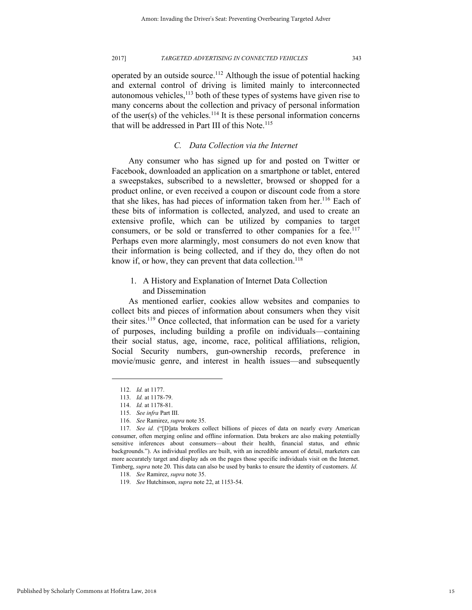operated by an outside source.<sup>112</sup> Although the issue of potential hacking and external control of driving is limited mainly to interconnected autonomous vehicles, $113$  both of these types of systems have given rise to many concerns about the collection and privacy of personal information of the user(s) of the vehicles.<sup>114</sup> It is these personal information concerns that will be addressed in Part III of this Note.<sup>115</sup>

## *C. Data Collection via the Internet*

Any consumer who has signed up for and posted on Twitter or Facebook, downloaded an application on a smartphone or tablet, entered a sweepstakes, subscribed to a newsletter, browsed or shopped for a product online, or even received a coupon or discount code from a store that she likes, has had pieces of information taken from her.<sup>116</sup> Each of these bits of information is collected, analyzed, and used to create an extensive profile, which can be utilized by companies to target consumers, or be sold or transferred to other companies for a fee.<sup>117</sup> Perhaps even more alarmingly, most consumers do not even know that their information is being collected, and if they do, they often do not know if, or how, they can prevent that data collection.<sup>118</sup>

1. A History and Explanation of Internet Data Collection and Dissemination

As mentioned earlier, cookies allow websites and companies to collect bits and pieces of information about consumers when they visit their sites.<sup>119</sup> Once collected, that information can be used for a variety of purposes, including building a profile on individuals—containing their social status, age, income, race, political affiliations, religion, Social Security numbers, gun-ownership records, preference in movie/music genre, and interest in health issues—and subsequently

l

Published by Scholarly Commons at Hofstra Law, 2018

15

<sup>112.</sup> *Id.* at 1177.

<sup>113.</sup> *Id.* at 1178-79.

<sup>114.</sup> *Id.* at 1178-81.

<sup>115.</sup> *See infra* Part III.

<sup>116.</sup> *See* Ramirez, *supra* note 35.

<sup>117.</sup> *See id.* ("[D]ata brokers collect billions of pieces of data on nearly every American consumer, often merging online and offline information. Data brokers are also making potentially sensitive inferences about consumers—about their health, financial status, and ethnic backgrounds."). As individual profiles are built, with an incredible amount of detail, marketers can more accurately target and display ads on the pages those specific individuals visit on the Internet. Timberg, *supra* note 20. This data can also be used by banks to ensure the identity of customers. *Id.*

<sup>118.</sup> *See* Ramirez, *supra* note 35.

<sup>119.</sup> *See* Hutchinson, *supra* note 22, at 1153-54.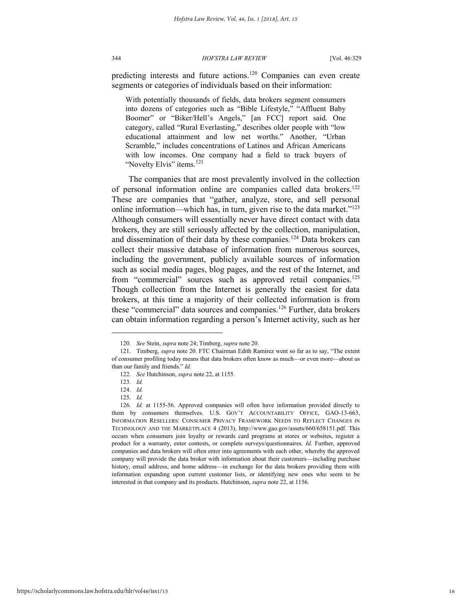predicting interests and future actions.<sup>120</sup> Companies can even create segments or categories of individuals based on their information:

With potentially thousands of fields, data brokers segment consumers into dozens of categories such as "Bible Lifestyle," "Affluent Baby Boomer" or "Biker/Hell's Angels," [an FCC] report said. One category, called "Rural Everlasting," describes older people with "low educational attainment and low net worths." Another, "Urban Scramble," includes concentrations of Latinos and African Americans with low incomes. One company had a field to track buyers of "Novelty Elvis" items.<sup>121</sup>

The companies that are most prevalently involved in the collection of personal information online are companies called data brokers.<sup>122</sup> These are companies that "gather, analyze, store, and sell personal online information—which has, in turn, given rise to the data market." $123$ Although consumers will essentially never have direct contact with data brokers, they are still seriously affected by the collection, manipulation, and dissemination of their data by these companies.<sup>124</sup> Data brokers can collect their massive database of information from numerous sources, including the government, publicly available sources of information such as social media pages, blog pages, and the rest of the Internet, and from "commercial" sources such as approved retail companies.<sup>125</sup> Though collection from the Internet is generally the easiest for data brokers, at this time a majority of their collected information is from these "commercial" data sources and companies.<sup>126</sup> Further, data brokers can obtain information regarding a person's Internet activity, such as her

<sup>120.</sup> *See* Stein, *supra* note 24; Timberg, *supra* note 20.

<sup>121.</sup> Timberg, *supra* note 20. FTC Chairman Edith Ramirez went so far as to say, "The extent of consumer profiling today means that data brokers often know as much—or even more—about us than our family and friends." *Id.*

<sup>122.</sup> *See* Hutchinson, *supra* note 22, at 1155.

<sup>123.</sup> *Id.*

<sup>124.</sup> *Id.*

<sup>125.</sup> *Id.*

<sup>126.</sup> *Id.* at 1155-56. Approved companies will often have information provided directly to them by consumers themselves. U.S. GOV'T ACCOUNTABILITY OFFICE, GAO-13-663, INFORMATION RESELLERS: CONSUMER PRIVACY FRAMEWORK NEEDS TO REFLECT CHANGES IN TECHNOLOGY AND THE MARKETPLACE 4 (2013), http://www.gao.gov/assets/660/658151.pdf. This occurs when consumers join loyalty or rewards card programs at stores or websites, register a product for a warranty, enter contests, or complete surveys/questionnaires. *Id.* Further, approved companies and data brokers will often enter into agreements with each other, whereby the approved company will provide the data broker with information about their customers—including purchase history, email address, and home address—in exchange for the data brokers providing them with information expanding upon current customer lists, or identifying new ones who seem to be interested in that company and its products. Hutchinson, *supra* note 22, at 1156.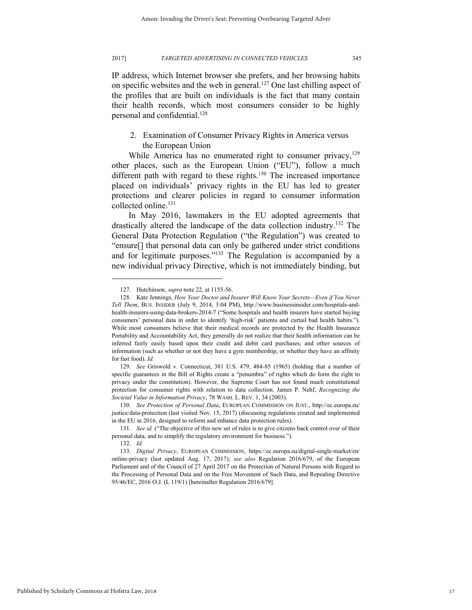IP address, which Internet browser she prefers, and her browsing habits on specific websites and the web in general.<sup>127</sup> One last chilling aspect of the profiles that are built on individuals is the fact that many contain their health records, which most consumers consider to be highly personal and confidential.<sup>128</sup>

## 2. Examination of Consumer Privacy Rights in America versus the European Union

While America has no enumerated right to consumer privacy,  $129$ other places, such as the European Union ("EU"), follow a much different path with regard to these rights.<sup>130</sup> The increased importance placed on individuals' privacy rights in the EU has led to greater protections and clearer policies in regard to consumer information collected online.<sup>131</sup>

In May 2016, lawmakers in the EU adopted agreements that drastically altered the landscape of the data collection industry.<sup>132</sup> The General Data Protection Regulation ("the Regulation") was created to "ensure[] that personal data can only be gathered under strict conditions and for legitimate purposes."<sup>133</sup> The Regulation is accompanied by a new individual privacy Directive, which is not immediately binding, but

<sup>127.</sup> Hutchinson, *supra* note 22, at 1155-56.

<sup>128.</sup> Kate Jennings, *How Your Doctor and Insurer Will Know Your Secrets—Even if You Never Tell Them*, BUS. INSIDER (July 9, 2014, 3:04 PM), http://www.businessinsider.com/hospitals-andhealth-insurers-using-data-brokers-2014-7 ("Some hospitals and health insurers have started buying consumers' personal data in order to identify 'high-risk' patients and curtail bad health habits."). While most consumers believe that their medical records are protected by the Health Insurance Portability and Accountability Act, they generally do not realize that their health information can be inferred fairly easily based upon their credit and debit card purchases, and other sources of information (such as whether or not they have a gym membership, or whether they have an affinity for fast food). *Id.* 

<sup>129.</sup> *See* Griswold v. Connecticut, 381 U.S. 479, 484-85 (1965) (holding that a number of specific guarantees in the Bill of Rights create a "penumbra" of rights which do form the right to privacy under the constitution). However, the Supreme Court has not found much constitutional protection for consumer rights with relation to data collection. James P. Nehf, *Recognizing the Societal Value in Information Privacy*, 78 WASH. L. REV. 1, 34 (2003).

<sup>130.</sup> *See Protection of Personal Data*, EUROPEAN COMMISSION ON JUST., http://ec.europa.eu/ justice/data-protection (last visited Nov. 15, 2017) (discussing regulations created and implemented in the EU in 2016, designed to reform and enhance data protection rules).

<sup>131.</sup> *See id.* ("The objective of this new set of rules is to give citizens back control over of their personal data, and to simplify the regulatory environment for business.").

<sup>132.</sup> *Id.*

<sup>133.</sup> *Digital Privacy*, EUROPEAN COMMISSION, https://ec.europa.eu/digital-single-market/en/ online-privacy (last updated Aug. 17, 2017); *see also* Regulation 2016/679, of the European Parliament and of the Council of 27 April 2017 on the Protection of Natural Persons with Regard to the Processing of Personal Data and on the Free Movement of Such Data, and Repealing Directive 95/46/EC, 2016 O.J. (L 119/1) [hereinafter Regulation 2016/679].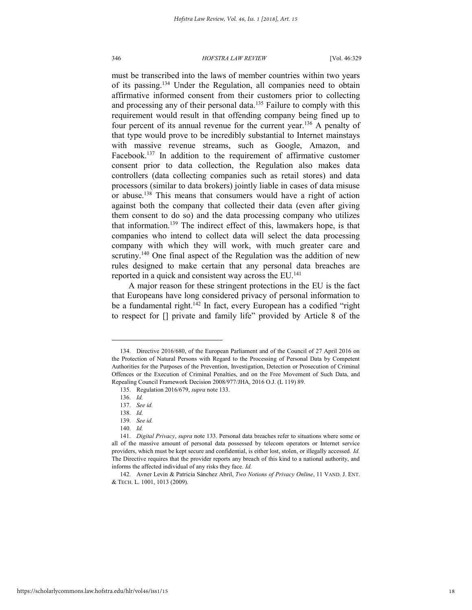must be transcribed into the laws of member countries within two years of its passing.<sup>134</sup> Under the Regulation, all companies need to obtain affirmative informed consent from their customers prior to collecting and processing any of their personal data.<sup>135</sup> Failure to comply with this requirement would result in that offending company being fined up to four percent of its annual revenue for the current year.<sup>136</sup> A penalty of that type would prove to be incredibly substantial to Internet mainstays with massive revenue streams, such as Google, Amazon, and Facebook.<sup>137</sup> In addition to the requirement of affirmative customer consent prior to data collection, the Regulation also makes data controllers (data collecting companies such as retail stores) and data processors (similar to data brokers) jointly liable in cases of data misuse or abuse.<sup>138</sup> This means that consumers would have a right of action against both the company that collected their data (even after giving them consent to do so) and the data processing company who utilizes that information.<sup>139</sup> The indirect effect of this, lawmakers hope, is that companies who intend to collect data will select the data processing company with which they will work, with much greater care and scrutiny.<sup>140</sup> One final aspect of the Regulation was the addition of new rules designed to make certain that any personal data breaches are reported in a quick and consistent way across the EU. 141

A major reason for these stringent protections in the EU is the fact that Europeans have long considered privacy of personal information to be a fundamental right.<sup>142</sup> In fact, every European has a codified "right" to respect for [] private and family life" provided by Article 8 of the

<sup>134.</sup> Directive 2016/680, of the European Parliament and of the Council of 27 April 2016 on the Protection of Natural Persons with Regard to the Processing of Personal Data by Competent Authorities for the Purposes of the Prevention, Investigation, Detection or Prosecution of Criminal Offences or the Execution of Criminal Penalties, and on the Free Movement of Such Data, and Repealing Council Framework Decision 2008/977/JHA, 2016 O.J. (L 119) 89.

<sup>135.</sup> Regulation 2016/679, *supra* note 133.

<sup>136.</sup> *Id.*

<sup>137.</sup> *See id.*

<sup>138.</sup> *Id.*

<sup>139.</sup> *See id.*

<sup>140.</sup> *Id.*

<sup>141.</sup> *Digital Privacy*, *supra* note 133. Personal data breaches refer to situations where some or all of the massive amount of personal data possessed by telecom operators or Internet service providers, which must be kept secure and confidential, is either lost, stolen, or illegally accessed. *Id.* The Directive requires that the provider reports any breach of this kind to a national authority, and informs the affected individual of any risks they face. *Id.*

<sup>142.</sup> Avner Levin & Patricia Sánchez Abril, *Two Notions of Privacy Online*, 11 VAND. J. ENT. & TECH. L. 1001, 1013 (2009).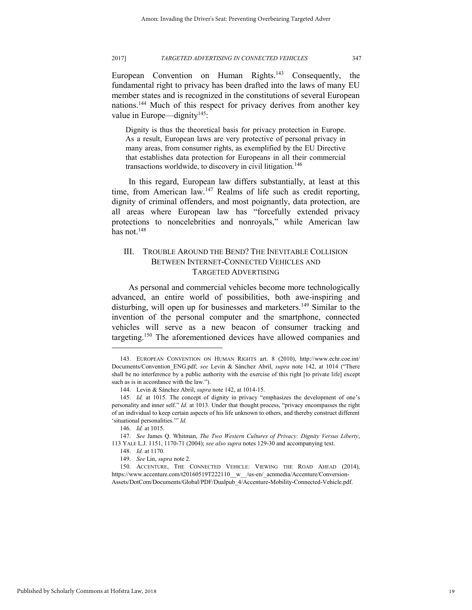European Convention on Human Rights.<sup>143</sup> Consequently, the fundamental right to privacy has been drafted into the laws of many EU member states and is recognized in the constitutions of several European nations.<sup>144</sup> Much of this respect for privacy derives from another key value in Europe—dignity<sup>145</sup>:

Dignity is thus the theoretical basis for privacy protection in Europe. As a result, European laws are very protective of personal privacy in many areas, from consumer rights, as exemplified by the EU Directive that establishes data protection for Europeans in all their commercial transactions worldwide, to discovery in civil litigation.<sup>146</sup>

In this regard, European law differs substantially, at least at this time, from American law.<sup>147</sup> Realms of life such as credit reporting, dignity of criminal offenders, and most poignantly, data protection, are all areas where European law has "forcefully extended privacy protections to noncelebrities and nonroyals," while American law has not. $148$ 

## III. TROUBLE AROUND THE BEND? THE INEVITABLE COLLISION BETWEEN INTERNET-CONNECTED VEHICLES AND TARGETED ADVERTISING

As personal and commercial vehicles become more technologically advanced, an entire world of possibilities, both awe-inspiring and disturbing, will open up for businesses and marketers.<sup>149</sup> Similar to the invention of the personal computer and the smartphone, connected vehicles will serve as a new beacon of consumer tracking and targeting.<sup>150</sup> The aforementioned devices have allowed companies and

<sup>143.</sup> EUROPEAN CONVENTION ON HUMAN RIGHTS art. 8 (2010), http://www.echr.coe.int/ Documents/Convention\_ENG.pdf; *see* Levin & Sánchez Abril, *supra* note 142, at 1014 ("There shall be no interference by a public authority with the exercise of this right [to private life] except such as is in accordance with the law.").

<sup>144.</sup> Levin & Sánchez Abril, *supra* note 142, at 1014-15.

<sup>145.</sup> *Id.* at 1015. The concept of dignity in privacy "emphasizes the development of one's personality and inner self." *Id.* at 1013. Under that thought process, "privacy encompasses the right of an individual to keep certain aspects of his life unknown to others, and thereby construct different 'situational personalities.'" *Id.*

<sup>146.</sup> *Id.* at 1015.

<sup>147.</sup> *See* James Q. Whitman, *The Two Western Cultures of Privacy: Dignity Versus Liberty*, 113 YALE L.J. 1151, 1170-71 (2004); *see also supra* notes 129-30 and accompanying text.

<sup>148.</sup> *Id.* at 1170.

<sup>149.</sup> *See* Lin, *supra* note 2.

<sup>150.</sup> ACCENTURE, THE CONNECTED VEHICLE: VIEWING THE ROAD AHEAD (2014), https://www.accenture.com/t20160519T222110\_\_w\_\_/us-en/\_acnmedia/Accenture/Conversion-Assets/DotCom/Documents/Global/PDF/Dualpub\_4/Accenture-Mobility-Connected-Vehicle.pdf.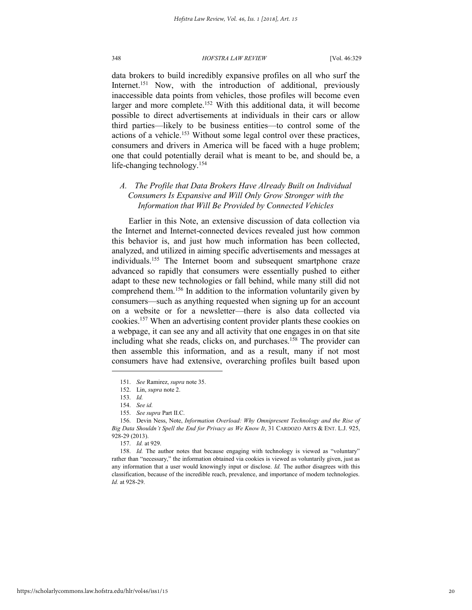data brokers to build incredibly expansive profiles on all who surf the Internet.<sup>151</sup> Now, with the introduction of additional, previously inaccessible data points from vehicles, those profiles will become even larger and more complete.<sup>152</sup> With this additional data, it will become possible to direct advertisements at individuals in their cars or allow third parties—likely to be business entities—to control some of the actions of a vehicle.<sup>153</sup> Without some legal control over these practices, consumers and drivers in America will be faced with a huge problem; one that could potentially derail what is meant to be, and should be, a life-changing technology.<sup>154</sup>

## *A. The Profile that Data Brokers Have Already Built on Individual Consumers Is Expansive and Will Only Grow Stronger with the Information that Will Be Provided by Connected Vehicles*

Earlier in this Note, an extensive discussion of data collection via the Internet and Internet-connected devices revealed just how common this behavior is, and just how much information has been collected, analyzed, and utilized in aiming specific advertisements and messages at individuals.<sup>155</sup> The Internet boom and subsequent smartphone craze advanced so rapidly that consumers were essentially pushed to either adapt to these new technologies or fall behind, while many still did not comprehend them.<sup>156</sup> In addition to the information voluntarily given by consumers—such as anything requested when signing up for an account on a website or for a newsletter—there is also data collected via cookies.<sup>157</sup> When an advertising content provider plants these cookies on a webpage, it can see any and all activity that one engages in on that site including what she reads, clicks on, and purchases.<sup>158</sup> The provider can then assemble this information, and as a result, many if not most consumers have had extensive, overarching profiles built based upon

<sup>151.</sup> *See* Ramirez, *supra* note 35.

<sup>152.</sup> Lin, *supra* note 2.

<sup>153.</sup> *Id.*

<sup>154.</sup> *See id.*

<sup>155.</sup> *See supra* Part II.C.

<sup>156.</sup> Devin Ness, Note, *Information Overload: Why Omnipresent Technology and the Rise of Big Data Shouldn't Spell the End for Privacy as We Know It*, 31 CARDOZO ARTS & ENT. L.J. 925, 928-29 (2013).

<sup>157.</sup> *Id.* at 929.

<sup>158.</sup> *Id.* The author notes that because engaging with technology is viewed as "voluntary" rather than "necessary," the information obtained via cookies is viewed as voluntarily given, just as any information that a user would knowingly input or disclose. *Id.* The author disagrees with this classification, because of the incredible reach, prevalence, and importance of modern technologies. *Id.* at 928-29.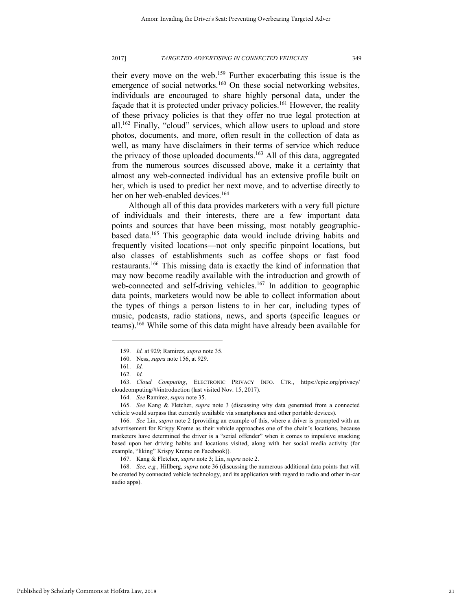their every move on the web.<sup>159</sup> Further exacerbating this issue is the emergence of social networks.<sup>160</sup> On these social networking websites, individuals are encouraged to share highly personal data, under the façade that it is protected under privacy policies.<sup>161</sup> However, the reality of these privacy policies is that they offer no true legal protection at all.<sup>162</sup> Finally, "cloud" services, which allow users to upload and store photos, documents, and more, often result in the collection of data as well, as many have disclaimers in their terms of service which reduce the privacy of those uploaded documents.<sup>163</sup> All of this data, aggregated from the numerous sources discussed above, make it a certainty that almost any web-connected individual has an extensive profile built on her, which is used to predict her next move, and to advertise directly to her on her web-enabled devices.<sup>164</sup>

Although all of this data provides marketers with a very full picture of individuals and their interests, there are a few important data points and sources that have been missing, most notably geographicbased data.<sup>165</sup> This geographic data would include driving habits and frequently visited locations—not only specific pinpoint locations, but also classes of establishments such as coffee shops or fast food restaurants.<sup>166</sup> This missing data is exactly the kind of information that may now become readily available with the introduction and growth of web-connected and self-driving vehicles.<sup>167</sup> In addition to geographic data points, marketers would now be able to collect information about the types of things a person listens to in her car, including types of music, podcasts, radio stations, news, and sports (specific leagues or teams).<sup>168</sup> While some of this data might have already been available for

<sup>159.</sup> *Id.* at 929; Ramirez, *supra* note 35.

<sup>160.</sup> Ness, *supra* note 156, at 929.

<sup>161.</sup> *Id.*

<sup>162.</sup> *Id.*

<sup>163.</sup> *Cloud Computing*, ELECTRONIC PRIVACY INFO. CTR., https://epic.org/privacy/ cloudcomputing/##introduction (last visited Nov. 15, 2017).

<sup>164.</sup> *See* Ramirez, *supra* note 35.

<sup>165.</sup> *See* Kang & Fletcher, *supra* note 3 (discussing why data generated from a connected vehicle would surpass that currently available via smartphones and other portable devices).

<sup>166.</sup> *See* Lin, *supra* note 2 (providing an example of this, where a driver is prompted with an advertisement for Krispy Kreme as their vehicle approaches one of the chain's locations, because marketers have determined the driver is a "serial offender" when it comes to impulsive snacking based upon her driving habits and locations visited, along with her social media activity (for example, "liking" Krispy Kreme on Facebook)).

<sup>167.</sup> Kang & Fletcher, *supra* note 3; Lin, *supra* note 2.

<sup>168.</sup> *See, e.g.*, Hillberg, *supra* note 36 (discussing the numerous additional data points that will be created by connected vehicle technology, and its application with regard to radio and other in-car audio apps).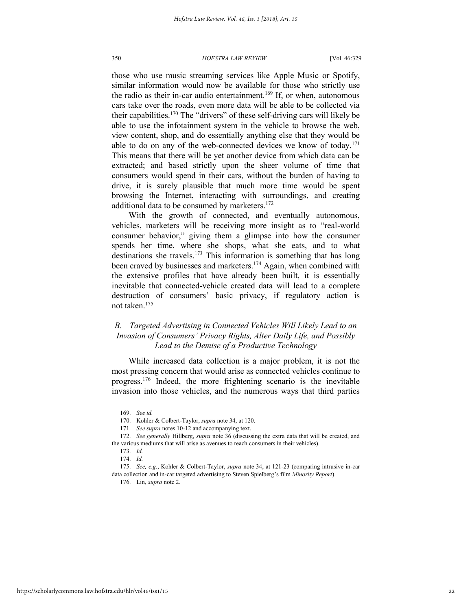those who use music streaming services like Apple Music or Spotify, similar information would now be available for those who strictly use the radio as their in-car audio entertainment.<sup>169</sup> If, or when, autonomous cars take over the roads, even more data will be able to be collected via their capabilities.<sup>170</sup> The "drivers" of these self-driving cars will likely be able to use the infotainment system in the vehicle to browse the web, view content, shop, and do essentially anything else that they would be able to do on any of the web-connected devices we know of today.<sup>171</sup> This means that there will be yet another device from which data can be extracted; and based strictly upon the sheer volume of time that consumers would spend in their cars, without the burden of having to drive, it is surely plausible that much more time would be spent browsing the Internet, interacting with surroundings, and creating additional data to be consumed by marketers.<sup>172</sup>

With the growth of connected, and eventually autonomous, vehicles, marketers will be receiving more insight as to "real-world consumer behavior," giving them a glimpse into how the consumer spends her time, where she shops, what she eats, and to what destinations she travels.<sup>173</sup> This information is something that has long been craved by businesses and marketers.<sup>174</sup> Again, when combined with the extensive profiles that have already been built, it is essentially inevitable that connected-vehicle created data will lead to a complete destruction of consumers' basic privacy, if regulatory action is not taken.<sup>175</sup>

## *B. Targeted Advertising in Connected Vehicles Will Likely Lead to an Invasion of Consumers' Privacy Rights, Alter Daily Life, and Possibly Lead to the Demise of a Productive Technology*

While increased data collection is a major problem, it is not the most pressing concern that would arise as connected vehicles continue to progress.<sup>176</sup> Indeed, the more frightening scenario is the inevitable invasion into those vehicles, and the numerous ways that third parties

<sup>169.</sup> *See id.*

<sup>170.</sup> Kohler & Colbert-Taylor, *supra* note 34, at 120.

<sup>171.</sup> *See supra* notes 10-12 and accompanying text.

<sup>172.</sup> *See generally* Hillberg, *supra* note 36 (discussing the extra data that will be created, and the various mediums that will arise as avenues to reach consumers in their vehicles).

<sup>173.</sup> *Id.* 

<sup>174.</sup> *Id.*

<sup>175.</sup> *See, e.g.*, Kohler & Colbert-Taylor, *supra* note 34, at 121-23 (comparing intrusive in-car data collection and in-car targeted advertising to Steven Spielberg's film *Minority Report*).

<sup>176.</sup> Lin, *supra* note 2.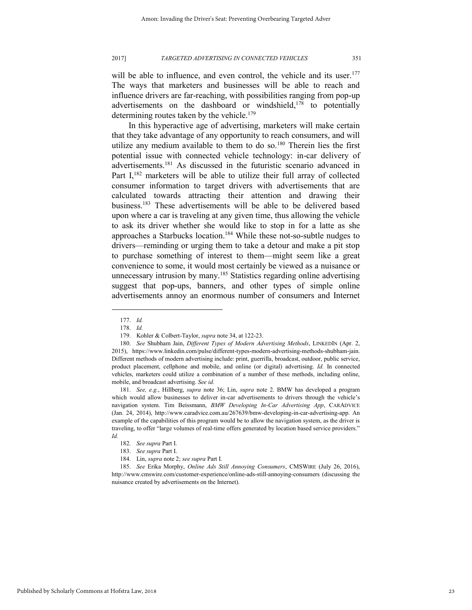will be able to influence, and even control, the vehicle and its user.<sup>177</sup> The ways that marketers and businesses will be able to reach and influence drivers are far-reaching, with possibilities ranging from pop-up advertisements on the dashboard or windshield, $178$  to potentially determining routes taken by the vehicle.<sup>179</sup>

In this hyperactive age of advertising, marketers will make certain that they take advantage of any opportunity to reach consumers, and will utilize any medium available to them to do so.<sup>180</sup> Therein lies the first potential issue with connected vehicle technology: in-car delivery of advertisements.<sup>181</sup> As discussed in the futuristic scenario advanced in Part I,<sup>182</sup> marketers will be able to utilize their full array of collected consumer information to target drivers with advertisements that are calculated towards attracting their attention and drawing their business.<sup>183</sup> These advertisements will be able to be delivered based upon where a car is traveling at any given time, thus allowing the vehicle to ask its driver whether she would like to stop in for a latte as she approaches a Starbucks location.<sup>184</sup> While these not-so-subtle nudges to drivers—reminding or urging them to take a detour and make a pit stop to purchase something of interest to them—might seem like a great convenience to some, it would most certainly be viewed as a nuisance or unnecessary intrusion by many.<sup>185</sup> Statistics regarding online advertising suggest that pop-ups, banners, and other types of simple online advertisements annoy an enormous number of consumers and Internet

l

181. *See, e.g.*, Hillberg, *supra* note 36; Lin, *supra* note 2. BMW has developed a program which would allow businesses to deliver in-car advertisements to drivers through the vehicle's navigation system. Tim Beissmann, *BMW Developing In-Car Advertising App*, CARADVICE (Jan. 24, 2014), http://www.caradvice.com.au/267639/bmw-developing-in-car-advertising-app. An example of the capabilities of this program would be to allow the navigation system, as the driver is traveling, to offer "large volumes of real-time offers generated by location based service providers." *Id.*

<sup>177.</sup> *Id.*

<sup>178.</sup> *Id.*

<sup>179.</sup> Kohler & Colbert-Taylor, *supra* note 34, at 122-23.

<sup>180.</sup> *See* Shubham Jain, *Different Types of Modern Advertising Methods*, LINKEDIN (Apr. 2, 2015), https://www.linkedin.com/pulse/different-types-modern-advertising-methods-shubham-jain. Different methods of modern advertising include: print, guerrilla, broadcast, outdoor, public service, product placement, cellphone and mobile, and online (or digital) advertising. *Id.* In connected vehicles, marketers could utilize a combination of a number of these methods, including online, mobile, and broadcast advertising. *See id.* 

<sup>182.</sup> *See supra* Part I.

<sup>183.</sup> *See supra* Part I.

<sup>184.</sup> Lin, *supra* note 2; *see supra* Part I.

<sup>185.</sup> *See* Erika Morphy, *Online Ads Still Annoying Consumers*, CMSWIRE (July 26, 2016), http://www.cmswire.com/customer-experience/online-ads-still-annoying-consumers (discussing the nuisance created by advertisements on the Internet).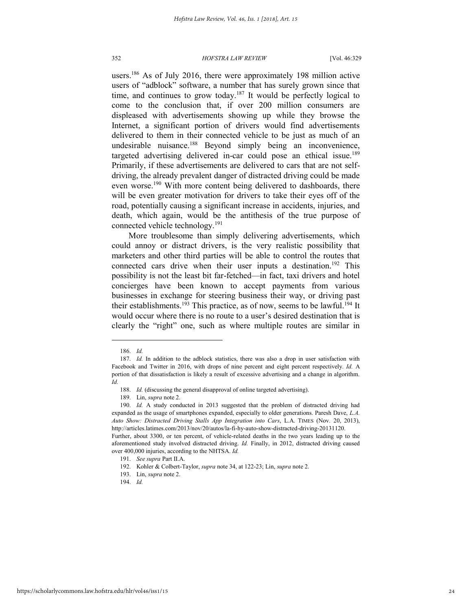users.<sup>186</sup> As of July 2016, there were approximately 198 million active users of "adblock" software, a number that has surely grown since that time, and continues to grow today.<sup>187</sup> It would be perfectly logical to come to the conclusion that, if over 200 million consumers are displeased with advertisements showing up while they browse the Internet, a significant portion of drivers would find advertisements delivered to them in their connected vehicle to be just as much of an undesirable nuisance.<sup>188</sup> Beyond simply being an inconvenience, targeted advertising delivered in-car could pose an ethical issue.<sup>189</sup> Primarily, if these advertisements are delivered to cars that are not selfdriving, the already prevalent danger of distracted driving could be made even worse.<sup>190</sup> With more content being delivered to dashboards, there will be even greater motivation for drivers to take their eyes off of the road, potentially causing a significant increase in accidents, injuries, and death, which again, would be the antithesis of the true purpose of connected vehicle technology.<sup>191</sup>

More troublesome than simply delivering advertisements, which could annoy or distract drivers, is the very realistic possibility that marketers and other third parties will be able to control the routes that connected cars drive when their user inputs a destination.<sup>192</sup> This possibility is not the least bit far-fetched—in fact, taxi drivers and hotel concierges have been known to accept payments from various businesses in exchange for steering business their way, or driving past their establishments.<sup>193</sup> This practice, as of now, seems to be lawful.<sup>194</sup> It would occur where there is no route to a user's desired destination that is clearly the "right" one, such as where multiple routes are similar in

l

194. *Id.*

<sup>186.</sup> *Id.*

<sup>187.</sup> *Id.* In addition to the adblock statistics, there was also a drop in user satisfaction with Facebook and Twitter in 2016, with drops of nine percent and eight percent respectively. *Id.* A portion of that dissatisfaction is likely a result of excessive advertising and a change in algorithm. *Id.* 

<sup>188.</sup> *Id.* (discussing the general disapproval of online targeted advertising).

<sup>189.</sup> Lin, *supra* note 2.

<sup>190.</sup> *Id.* A study conducted in 2013 suggested that the problem of distracted driving had expanded as the usage of smartphones expanded, especially to older generations. Paresh Dave, *L.A. Auto Show: Distracted Driving Stalls App Integration into Cars*, L.A. TIMES (Nov. 20, 2013), http://articles.latimes.com/2013/nov/20/autos/la-fi-hy-auto-show-distracted-driving-20131120. Further, about 3300, or ten percent, of vehicle-related deaths in the two years leading up to the

aforementioned study involved distracted driving. *Id.* Finally, in 2012, distracted driving caused over 400,000 injuries, according to the NHTSA. *Id.* 

<sup>191.</sup> *See supra* Part II.A.

<sup>192.</sup> Kohler & Colbert-Taylor, *supra* note 34, at 122-23; Lin, *supra* note 2.

<sup>193.</sup> Lin, *supra* note 2.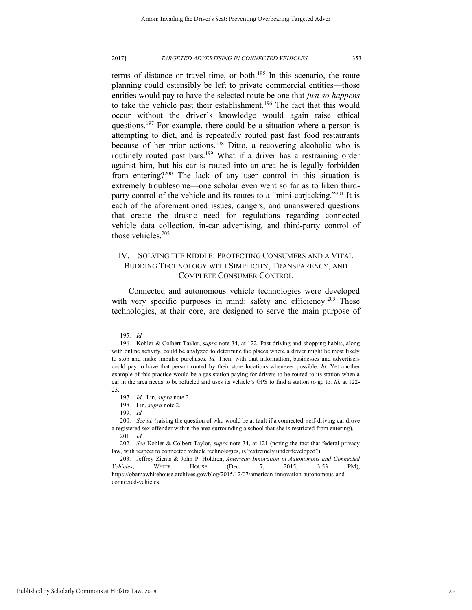terms of distance or travel time, or both.<sup>195</sup> In this scenario, the route planning could ostensibly be left to private commercial entities—those entities would pay to have the selected route be one that *just so happens* to take the vehicle past their establishment.<sup>196</sup> The fact that this would occur without the driver's knowledge would again raise ethical questions.<sup>197</sup> For example, there could be a situation where a person is attempting to diet, and is repeatedly routed past fast food restaurants because of her prior actions.<sup>198</sup> Ditto, a recovering alcoholic who is routinely routed past bars.<sup>199</sup> What if a driver has a restraining order against him, but his car is routed into an area he is legally forbidden from entering?<sup>200</sup> The lack of any user control in this situation is extremely troublesome—one scholar even went so far as to liken thirdparty control of the vehicle and its routes to a "mini-carjacking."<sup>201</sup> It is each of the aforementioned issues, dangers, and unanswered questions that create the drastic need for regulations regarding connected vehicle data collection, in-car advertising, and third-party control of those vehicles.<sup>202</sup>

## IV. SOLVING THE RIDDLE: PROTECTING CONSUMERS AND A VITAL BUDDING TECHNOLOGY WITH SIMPLICITY, TRANSPARENCY, AND COMPLETE CONSUMER CONTROL

Connected and autonomous vehicle technologies were developed with very specific purposes in mind: safety and efficiency.<sup>203</sup> These technologies, at their core, are designed to serve the main purpose of

<sup>195.</sup> *Id.*

<sup>196.</sup> Kohler & Colbert-Taylor, *supra* note 34, at 122. Past driving and shopping habits, along with online activity, could be analyzed to determine the places where a driver might be most likely to stop and make impulse purchases. *Id.* Then, with that information, businesses and advertisers could pay to have that person routed by their store locations whenever possible. *Id.* Yet another example of this practice would be a gas station paying for drivers to be routed to its station when a car in the area needs to be refueled and uses its vehicle's GPS to find a station to go to. *Id.* at 122- 23.

<sup>197.</sup> *Id.*; Lin, *supra* note 2.

<sup>198.</sup> Lin, *supra* note 2.

<sup>199.</sup> *Id.*

<sup>200.</sup> See id. (raising the question of who would be at fault if a connected, self-driving car drove a registered sex offender within the area surrounding a school that she is restricted from entering).

<sup>201.</sup> *Id.*

<sup>202.</sup> *See* Kohler & Colbert-Taylor, *supra* note 34, at 121 (noting the fact that federal privacy law, with respect to connected vehicle technologies, is "extremely underdeveloped").

<sup>203.</sup> Jeffrey Zients & John P. Holdren, *American Innovation in Autonomous and Connected Vehicles*, WHITE HOUSE (Dec. 7, 2015, 3:53 PM), https://obamawhitehouse.archives.gov/blog/2015/12/07/american-innovation-autonomous-andconnected-vehicles.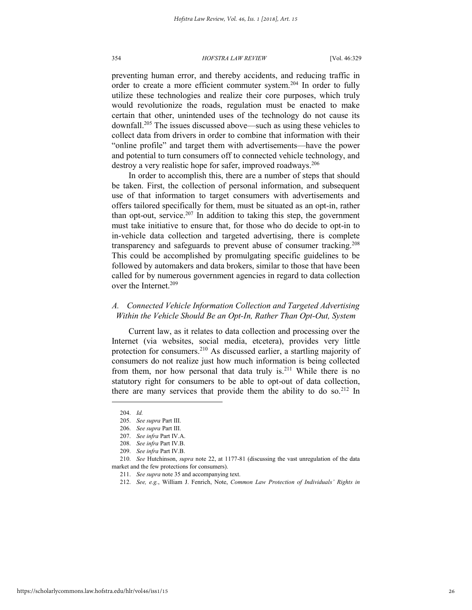preventing human error, and thereby accidents, and reducing traffic in order to create a more efficient commuter system.<sup>204</sup> In order to fully utilize these technologies and realize their core purposes, which truly would revolutionize the roads, regulation must be enacted to make certain that other, unintended uses of the technology do not cause its downfall.<sup>205</sup> The issues discussed above—such as using these vehicles to collect data from drivers in order to combine that information with their "online profile" and target them with advertisements—have the power and potential to turn consumers off to connected vehicle technology, and destroy a very realistic hope for safer, improved roadways.<sup>206</sup>

In order to accomplish this, there are a number of steps that should be taken. First, the collection of personal information, and subsequent use of that information to target consumers with advertisements and offers tailored specifically for them, must be situated as an opt-in, rather than opt-out, service.<sup>207</sup> In addition to taking this step, the government must take initiative to ensure that, for those who do decide to opt-in to in-vehicle data collection and targeted advertising, there is complete transparency and safeguards to prevent abuse of consumer tracking.<sup>208</sup> This could be accomplished by promulgating specific guidelines to be followed by automakers and data brokers, similar to those that have been called for by numerous government agencies in regard to data collection over the Internet.<sup>209</sup>

## *A. Connected Vehicle Information Collection and Targeted Advertising Within the Vehicle Should Be an Opt-In, Rather Than Opt-Out, System*

Current law, as it relates to data collection and processing over the Internet (via websites, social media, etcetera), provides very little protection for consumers.<sup>210</sup> As discussed earlier, a startling majority of consumers do not realize just how much information is being collected from them, nor how personal that data truly is.<sup>211</sup> While there is no statutory right for consumers to be able to opt-out of data collection, there are many services that provide them the ability to do so.<sup>212</sup> In

<sup>204.</sup> *Id.*

<sup>205.</sup> *See supra* Part III.

<sup>206.</sup> *See supra* Part III.

<sup>207.</sup> *See infra* Part IV.A.

<sup>208.</sup> *See infra* Part IV.B.

<sup>209.</sup> *See infra* Part IV.B.

<sup>210.</sup> *See* Hutchinson, *supra* note 22, at 1177-81 (discussing the vast unregulation of the data market and the few protections for consumers).

<sup>211.</sup> *See supra* note 35 and accompanying text.

<sup>212.</sup> *See, e.g.*, William J. Fenrich, Note, *Common Law Protection of Individuals' Rights in*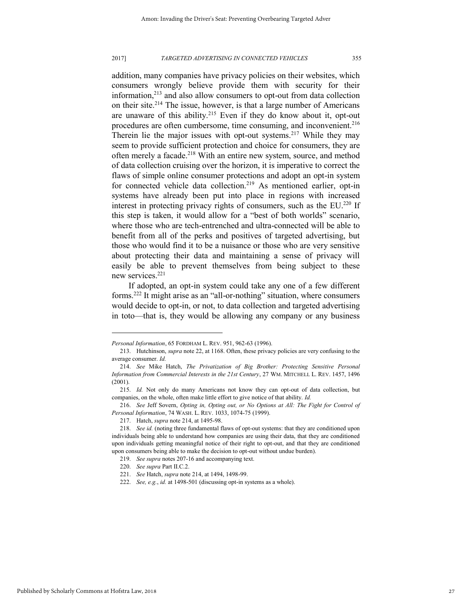addition, many companies have privacy policies on their websites, which consumers wrongly believe provide them with security for their information,<sup>213</sup> and also allow consumers to opt-out from data collection on their site.<sup>214</sup> The issue, however, is that a large number of Americans are unaware of this ability.<sup>215</sup> Even if they do know about it, opt-out procedures are often cumbersome, time consuming, and inconvenient.<sup>216</sup> Therein lie the major issues with opt-out systems.<sup>217</sup> While they may seem to provide sufficient protection and choice for consumers, they are often merely a facade.<sup>218</sup> With an entire new system, source, and method of data collection cruising over the horizon, it is imperative to correct the flaws of simple online consumer protections and adopt an opt-in system for connected vehicle data collection.<sup>219</sup> As mentioned earlier, opt-in systems have already been put into place in regions with increased interest in protecting privacy rights of consumers, such as the EU. <sup>220</sup> If this step is taken, it would allow for a "best of both worlds" scenario, where those who are tech-entrenched and ultra-connected will be able to benefit from all of the perks and positives of targeted advertising, but those who would find it to be a nuisance or those who are very sensitive about protecting their data and maintaining a sense of privacy will easily be able to prevent themselves from being subject to these new services.<sup>221</sup>

If adopted, an opt-in system could take any one of a few different forms.<sup>222</sup> It might arise as an "all-or-nothing" situation, where consumers would decide to opt-in, or not, to data collection and targeted advertising in toto—that is, they would be allowing any company or any business

*Personal Information*, 65 FORDHAM L. REV. 951, 962-63 (1996).

<sup>213.</sup> Hutchinson, *supra* note 22, at 1168. Often, these privacy policies are very confusing to the average consumer. *Id.*

<sup>214.</sup> *See* Mike Hatch, *The Privatization of Big Brother: Protecting Sensitive Personal Information from Commercial Interests in the 21st Century*, 27 WM. MITCHELL L. REV. 1457, 1496 (2001).

<sup>215.</sup> *Id.* Not only do many Americans not know they can opt-out of data collection, but companies, on the whole, often make little effort to give notice of that ability. *Id.*

<sup>216.</sup> *See* Jeff Sovern, *Opting in, Opting out, or No Options at All: The Fight for Control of Personal Information*, 74 WASH. L. REV. 1033, 1074-75 (1999).

<sup>217.</sup> Hatch, *supra* note 214, at 1495-98.

<sup>218.</sup> *See id.* (noting three fundamental flaws of opt-out systems: that they are conditioned upon individuals being able to understand how companies are using their data, that they are conditioned upon individuals getting meaningful notice of their right to opt-out, and that they are conditioned upon consumers being able to make the decision to opt-out without undue burden).

<sup>219.</sup> *See supra* notes 207-16 and accompanying text.

<sup>220.</sup> *See supra* Part II.C.2.

<sup>221.</sup> *See* Hatch, *supra* note 214, at 1494, 1498-99.

<sup>222.</sup> *See, e.g.*, *id.* at 1498-501 (discussing opt-in systems as a whole).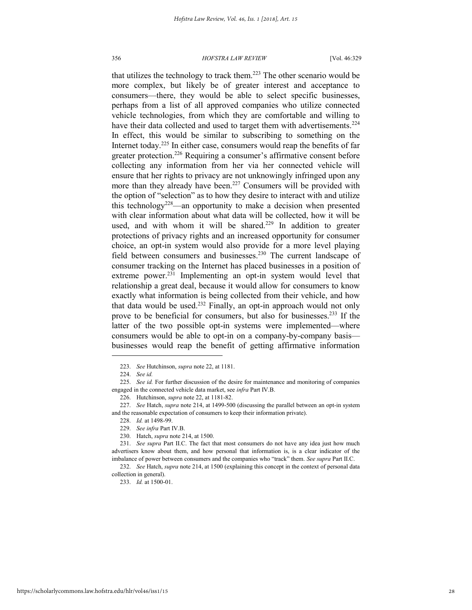that utilizes the technology to track them.<sup>223</sup> The other scenario would be more complex, but likely be of greater interest and acceptance to consumers—there, they would be able to select specific businesses, perhaps from a list of all approved companies who utilize connected vehicle technologies, from which they are comfortable and willing to have their data collected and used to target them with advertisements.<sup>224</sup> In effect, this would be similar to subscribing to something on the Internet today.<sup>225</sup> In either case, consumers would reap the benefits of far greater protection.<sup>226</sup> Requiring a consumer's affirmative consent before collecting any information from her via her connected vehicle will ensure that her rights to privacy are not unknowingly infringed upon any more than they already have been.<sup>227</sup> Consumers will be provided with the option of "selection" as to how they desire to interact with and utilize this technology<sup>228</sup>—an opportunity to make a decision when presented with clear information about what data will be collected, how it will be used, and with whom it will be shared.<sup>229</sup> In addition to greater protections of privacy rights and an increased opportunity for consumer choice, an opt-in system would also provide for a more level playing field between consumers and businesses.<sup>230</sup> The current landscape of consumer tracking on the Internet has placed businesses in a position of extreme power.<sup>231</sup> Implementing an opt-in system would level that relationship a great deal, because it would allow for consumers to know exactly what information is being collected from their vehicle, and how that data would be used.<sup>232</sup> Finally, an opt-in approach would not only prove to be beneficial for consumers, but also for businesses.<sup>233</sup> If the latter of the two possible opt-in systems were implemented—where consumers would be able to opt-in on a company-by-company basis businesses would reap the benefit of getting affirmative information

l

231. *See supra* Part II.C. The fact that most consumers do not have any idea just how much advertisers know about them, and how personal that information is, is a clear indicator of the imbalance of power between consumers and the companies who "track" them. *See supra* Part II.C.

233. *Id.* at 1500-01.

<sup>223.</sup> *See* Hutchinson, *supra* note 22, at 1181.

<sup>224.</sup> *See id.*

<sup>225.</sup> *See id.* For further discussion of the desire for maintenance and monitoring of companies engaged in the connected vehicle data market, see *infra* Part IV.B.

<sup>226.</sup> Hutchinson, *supra* note 22, at 1181-82.

<sup>227.</sup> *See* Hatch, *supra* note 214, at 1499-500 (discussing the parallel between an opt-in system and the reasonable expectation of consumers to keep their information private).

<sup>228.</sup> *Id.* at 1498-99.

<sup>229.</sup> *See infra* Part IV.B.

<sup>230.</sup> Hatch, *supra* note 214, at 1500.

<sup>232.</sup> *See* Hatch, *supra* note 214, at 1500 (explaining this concept in the context of personal data collection in general).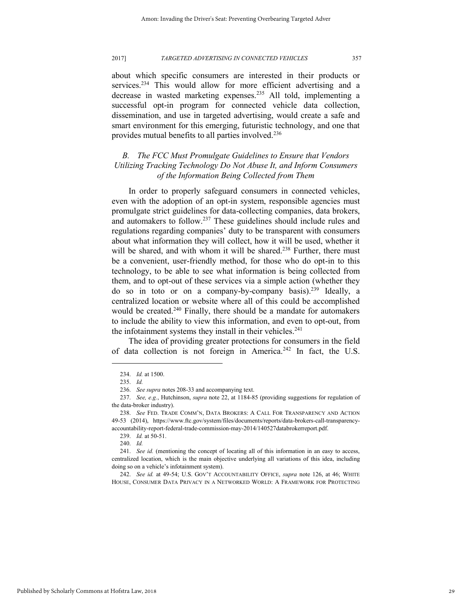about which specific consumers are interested in their products or services.<sup>234</sup> This would allow for more efficient advertising and a decrease in wasted marketing expenses.<sup>235</sup> All told, implementing a successful opt-in program for connected vehicle data collection, dissemination, and use in targeted advertising, would create a safe and smart environment for this emerging, futuristic technology, and one that provides mutual benefits to all parties involved.<sup>236</sup>

## *B. The FCC Must Promulgate Guidelines to Ensure that Vendors Utilizing Tracking Technology Do Not Abuse It, and Inform Consumers of the Information Being Collected from Them*

In order to properly safeguard consumers in connected vehicles, even with the adoption of an opt-in system, responsible agencies must promulgate strict guidelines for data-collecting companies, data brokers, and automakers to follow.<sup>237</sup> These guidelines should include rules and regulations regarding companies' duty to be transparent with consumers about what information they will collect, how it will be used, whether it will be shared, and with whom it will be shared.<sup>238</sup> Further, there must be a convenient, user-friendly method, for those who do opt-in to this technology, to be able to see what information is being collected from them, and to opt-out of these services via a simple action (whether they do so in toto or on a company-by-company basis).<sup>239</sup> Ideally, a centralized location or website where all of this could be accomplished would be created.<sup>240</sup> Finally, there should be a mandate for automakers to include the ability to view this information, and even to opt-out, from the infotainment systems they install in their vehicles.<sup>241</sup>

The idea of providing greater protections for consumers in the field of data collection is not foreign in America.<sup>242</sup> In fact, the U.S.

<sup>234.</sup> *Id.* at 1500.

<sup>235.</sup> *Id.*

<sup>236.</sup> *See supra* notes 208-33 and accompanying text.

<sup>237.</sup> *See, e.g.*, Hutchinson, *supra* note 22, at 1184-85 (providing suggestions for regulation of the data-broker industry).

<sup>238.</sup> *See* FED. TRADE COMM'N, DATA BROKERS: A CALL FOR TRANSPARENCY AND ACTION 49-53 (2014), https://www.ftc.gov/system/files/documents/reports/data-brokers-call-transparencyaccountability-report-federal-trade-commission-may-2014/140527databrokerreport.pdf.

<sup>239.</sup> *Id.* at 50-51.

<sup>240.</sup> *Id.*

<sup>241.</sup> *See id.* (mentioning the concept of locating all of this information in an easy to access, centralized location, which is the main objective underlying all variations of this idea, including doing so on a vehicle's infotainment system).

<sup>242.</sup> *See id.* at 49-54; U.S. GOV'T ACCOUNTABILITY OFFICE, *supra* note 126, at 46; WHITE HOUSE, CONSUMER DATA PRIVACY IN A NETWORKED WORLD: A FRAMEWORK FOR PROTECTING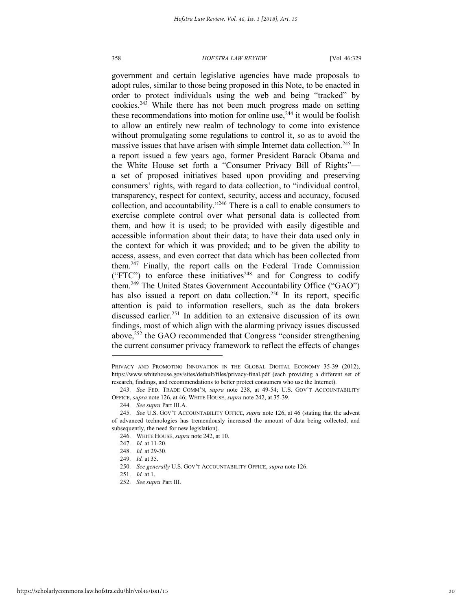government and certain legislative agencies have made proposals to adopt rules, similar to those being proposed in this Note, to be enacted in order to protect individuals using the web and being "tracked" by cookies.<sup>243</sup> While there has not been much progress made on setting these recommendations into motion for online use, $244$  it would be foolish to allow an entirely new realm of technology to come into existence without promulgating some regulations to control it, so as to avoid the massive issues that have arisen with simple Internet data collection.<sup>245</sup> In a report issued a few years ago, former President Barack Obama and the White House set forth a "Consumer Privacy Bill of Rights" a set of proposed initiatives based upon providing and preserving consumers' rights, with regard to data collection, to "individual control, transparency, respect for context, security, access and accuracy, focused collection, and accountability."<sup>246</sup> There is a call to enable consumers to exercise complete control over what personal data is collected from them, and how it is used; to be provided with easily digestible and accessible information about their data; to have their data used only in the context for which it was provided; and to be given the ability to access, assess, and even correct that data which has been collected from them.<sup>247</sup> Finally, the report calls on the Federal Trade Commission ("FTC") to enforce these initiatives<sup>248</sup> and for Congress to codify them.<sup>249</sup> The United States Government Accountability Office ("GAO") has also issued a report on data collection.<sup>250</sup> In its report, specific attention is paid to information resellers, such as the data brokers discussed earlier.<sup>251</sup> In addition to an extensive discussion of its own findings, most of which align with the alarming privacy issues discussed above,<sup>252</sup> the GAO recommended that Congress "consider strengthening the current consumer privacy framework to reflect the effects of changes

247. *Id.* at 11-20.

PRIVACY AND PROMOTING INNOVATION IN THE GLOBAL DIGITAL ECONOMY 35-39 (2012), https://www.whitehouse.gov/sites/default/files/privacy-final.pdf (each providing a different set of research, findings, and recommendations to better protect consumers who use the Internet).

<sup>243.</sup> *See* FED. TRADE COMM'N, *supra* note 238, at 49-54; U.S. GOV'T ACCOUNTABILITY OFFICE, *supra* note 126, at 46; WHITE HOUSE, *supra* note 242, at 35-39.

<sup>244.</sup> *See supra* Part III.A.

<sup>245.</sup> *See* U.S. GOV'T ACCOUNTABILITY OFFICE, *supra* note 126, at 46 (stating that the advent of advanced technologies has tremendously increased the amount of data being collected, and subsequently, the need for new legislation).

<sup>246.</sup> WHITE HOUSE, *supra* note 242, at 10.

<sup>248.</sup> *Id.* at 29-30.

<sup>249.</sup> *Id.* at 35.

<sup>250.</sup> *See generally* U.S. GOV'T ACCOUNTABILITY OFFICE, *supra* note 126.

<sup>251.</sup> *Id.* at 1.

<sup>252.</sup> *See supra* Part III.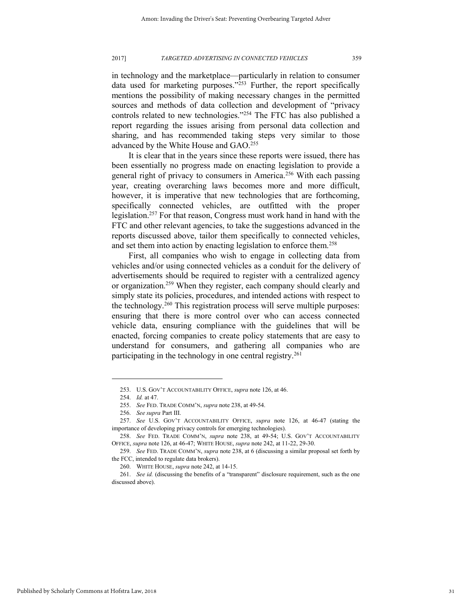in technology and the marketplace—particularly in relation to consumer data used for marketing purposes." $253$  Further, the report specifically mentions the possibility of making necessary changes in the permitted sources and methods of data collection and development of "privacy controls related to new technologies."<sup>254</sup> The FTC has also published a report regarding the issues arising from personal data collection and sharing, and has recommended taking steps very similar to those advanced by the White House and GAO.<sup>255</sup>

It is clear that in the years since these reports were issued, there has been essentially no progress made on enacting legislation to provide a general right of privacy to consumers in America.<sup>256</sup> With each passing year, creating overarching laws becomes more and more difficult, however, it is imperative that new technologies that are forthcoming, specifically connected vehicles, are outfitted with the proper legislation.<sup>257</sup> For that reason, Congress must work hand in hand with the FTC and other relevant agencies, to take the suggestions advanced in the reports discussed above, tailor them specifically to connected vehicles, and set them into action by enacting legislation to enforce them.<sup>258</sup>

First, all companies who wish to engage in collecting data from vehicles and/or using connected vehicles as a conduit for the delivery of advertisements should be required to register with a centralized agency or organization.<sup>259</sup> When they register, each company should clearly and simply state its policies, procedures, and intended actions with respect to the technology.<sup>260</sup> This registration process will serve multiple purposes: ensuring that there is more control over who can access connected vehicle data, ensuring compliance with the guidelines that will be enacted, forcing companies to create policy statements that are easy to understand for consumers, and gathering all companies who are participating in the technology in one central registry.<sup>261</sup>

<sup>253.</sup> U.S. GOV'T ACCOUNTABILITY OFFICE, *supra* note 126, at 46.

<sup>254.</sup> *Id.* at 47.

<sup>255.</sup> *See* FED. TRADE COMM'N, *supra* note 238, at 49-54.

<sup>256.</sup> *See supra* Part III.

<sup>257.</sup> *See* U.S. GOV'T ACCOUNTABILITY OFFICE, *supra* note 126, at 46-47 (stating the importance of developing privacy controls for emerging technologies).

<sup>258.</sup> *See* FED. TRADE COMM'N, *supra* note 238, at 49-54; U.S. GOV'T ACCOUNTABILITY OFFICE, *supra* note 126, at 46-47; WHITE HOUSE, *supra* note 242, at 11-22, 29-30.

<sup>259.</sup> *See* FED. TRADE COMM'N, *supra* note 238, at 6 (discussing a similar proposal set forth by the FCC, intended to regulate data brokers).

<sup>260.</sup> WHITE HOUSE, *supra* note 242, at 14-15.

<sup>261.</sup> *See id.* (discussing the benefits of a "transparent" disclosure requirement, such as the one discussed above).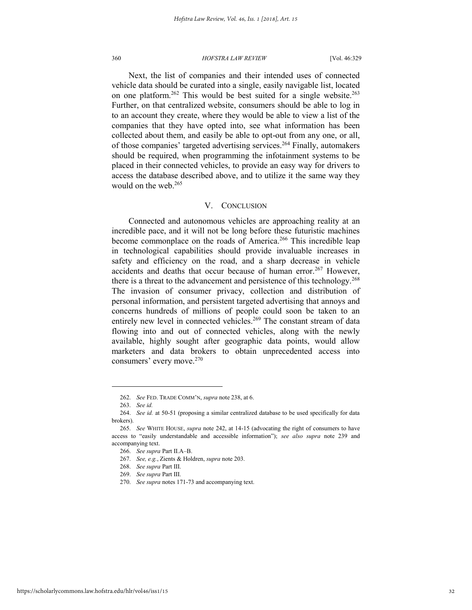Next, the list of companies and their intended uses of connected vehicle data should be curated into a single, easily navigable list, located on one platform.<sup>262</sup> This would be best suited for a single website.<sup>263</sup> Further, on that centralized website, consumers should be able to log in to an account they create, where they would be able to view a list of the companies that they have opted into, see what information has been collected about them, and easily be able to opt-out from any one, or all, of those companies' targeted advertising services.<sup>264</sup> Finally, automakers should be required, when programming the infotainment systems to be placed in their connected vehicles, to provide an easy way for drivers to access the database described above, and to utilize it the same way they would on the web.<sup>265</sup>

## V. CONCLUSION

Connected and autonomous vehicles are approaching reality at an incredible pace, and it will not be long before these futuristic machines become commonplace on the roads of America.<sup>266</sup> This incredible leap in technological capabilities should provide invaluable increases in safety and efficiency on the road, and a sharp decrease in vehicle accidents and deaths that occur because of human error.<sup>267</sup> However, there is a threat to the advancement and persistence of this technology.<sup>268</sup> The invasion of consumer privacy, collection and distribution of personal information, and persistent targeted advertising that annoys and concerns hundreds of millions of people could soon be taken to an entirely new level in connected vehicles.<sup>269</sup> The constant stream of data flowing into and out of connected vehicles, along with the newly available, highly sought after geographic data points, would allow marketers and data brokers to obtain unprecedented access into consumers' every move.<sup>270</sup>

<sup>262.</sup> *See* FED. TRADE COMM'N, *supra* note 238, at 6.

<sup>263.</sup> *See id.*

<sup>264.</sup> *See id.* at 50-51 (proposing a similar centralized database to be used specifically for data brokers).

<sup>265.</sup> *See* WHITE HOUSE, *supra* note 242, at 14-15 (advocating the right of consumers to have access to "easily understandable and accessible information"); *see also supra* note 239 and accompanying text.

<sup>266.</sup> *See supra* Part II.A–B.

<sup>267.</sup> *See, e.g.*, Zients & Holdren, *supra* note 203.

<sup>268.</sup> *See supra* Part III.

<sup>269.</sup> *See supra* Part III.

<sup>270.</sup> *See supra* notes 171-73 and accompanying text.